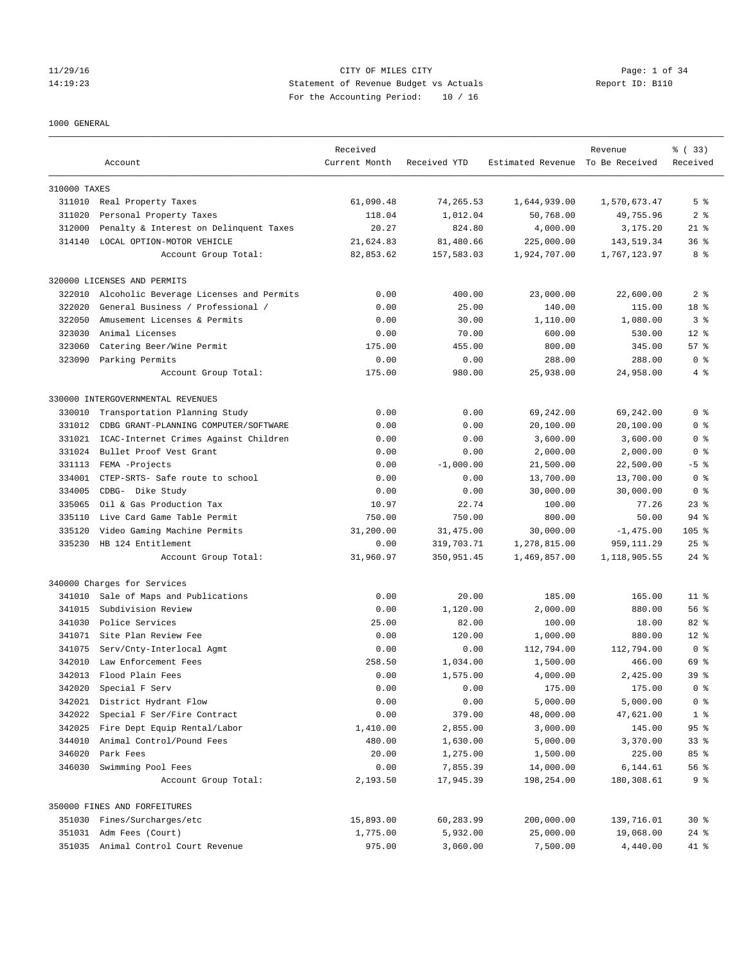## 11/29/16 CITY OF MILES CITY Page: 1 of 34 14:19:23 Statement of Revenue Budget vs Actuals Report ID: B110 For the Accounting Period: 10 / 16

#### 1000 GENERAL

|              | Account                                 | Received<br>Current Month | Received YTD | Estimated Revenue To Be Received | Revenue      | % (33)<br>Received |
|--------------|-----------------------------------------|---------------------------|--------------|----------------------------------|--------------|--------------------|
|              |                                         |                           |              |                                  |              |                    |
| 310000 TAXES |                                         |                           |              |                                  |              |                    |
|              | 311010 Real Property Taxes              | 61,090.48                 | 74,265.53    | 1,644,939.00                     | 1,570,673.47 | 5 <sup>8</sup>     |
| 311020       | Personal Property Taxes                 | 118.04                    | 1,012.04     | 50,768.00                        | 49,755.96    | 2 <sub>8</sub>     |
| 312000       | Penalty & Interest on Delinquent Taxes  | 20.27                     | 824.80       | 4,000.00                         | 3,175.20     | $21$ %             |
| 314140       | LOCAL OPTION-MOTOR VEHICLE              | 21,624.83                 | 81,480.66    | 225,000.00                       | 143,519.34   | 36 <sup>8</sup>    |
|              | Account Group Total:                    | 82,853.62                 | 157,583.03   | 1,924,707.00                     | 1,767,123.97 | 8 %                |
|              | 320000 LICENSES AND PERMITS             |                           |              |                                  |              |                    |
| 322010       | Alcoholic Beverage Licenses and Permits | 0.00                      | 400.00       | 23,000.00                        | 22,600.00    | 2 <sub>8</sub>     |
| 322020       | General Business / Professional /       | 0.00                      | 25.00        | 140.00                           | 115.00       | 18 %               |
| 322050       | Amusement Licenses & Permits            | 0.00                      | 30.00        | 1,110.00                         | 1,080.00     | 3 <sup>8</sup>     |
| 323030       | Animal Licenses                         | 0.00                      | 70.00        | 600.00                           | 530.00       | $12*$              |
| 323060       | Catering Beer/Wine Permit               | 175.00                    | 455.00       | 800.00                           | 345.00       | 57%                |
| 323090       | Parking Permits                         | 0.00                      | 0.00         | 288.00                           | 288.00       | 0 <sup>8</sup>     |
|              | Account Group Total:                    | 175.00                    | 980.00       | 25,938.00                        | 24,958.00    | 4%                 |
|              | 330000 INTERGOVERNMENTAL REVENUES       |                           |              |                                  |              |                    |
| 330010       | Transportation Planning Study           | 0.00                      | 0.00         | 69,242.00                        | 69,242.00    | 0 <sup>8</sup>     |
| 331012       | CDBG GRANT-PLANNING COMPUTER/SOFTWARE   | 0.00                      | 0.00         | 20,100.00                        | 20,100.00    | 0 <sup>8</sup>     |
| 331021       | ICAC-Internet Crimes Against Children   | 0.00                      | 0.00         | 3,600.00                         | 3,600.00     | 0 <sup>8</sup>     |
| 331024       | Bullet Proof Vest Grant                 | 0.00                      | 0.00         | 2,000.00                         | 2,000.00     | 0 <sup>8</sup>     |
| 331113       | FEMA -Projects                          | 0.00                      | $-1,000.00$  | 21,500.00                        | 22,500.00    | $-5$ %             |
| 334001       | CTEP-SRTS- Safe route to school         | 0.00                      | 0.00         | 13,700.00                        | 13,700.00    | 0 <sup>8</sup>     |
| 334005       | CDBG- Dike Study                        | 0.00                      | 0.00         | 30,000.00                        | 30,000.00    | 0 <sup>8</sup>     |
| 335065       | Oil & Gas Production Tax                | 10.97                     | 22.74        | 100.00                           | 77.26        | $23$ $%$           |
| 335110       | Live Card Game Table Permit             | 750.00                    | 750.00       | 800.00                           | 50.00        | $94$ %             |
| 335120       | Video Gaming Machine Permits            | 31,200.00                 | 31,475.00    | 30,000.00                        | $-1,475.00$  | $105$ %            |
| 335230       | HB 124 Entitlement                      | 0.00                      | 319,703.71   | 1,278,815.00                     | 959, 111.29  | $25$ $%$           |
|              | Account Group Total:                    | 31,960.97                 | 350,951.45   | 1,469,857.00                     | 1,118,905.55 | $24$ %             |
|              | 340000 Charges for Services             |                           |              |                                  |              |                    |
| 341010       | Sale of Maps and Publications           | 0.00                      | 20.00        | 185.00                           | 165.00       | 11 <sup>8</sup>    |
| 341015       | Subdivision Review                      | 0.00                      | 1,120.00     | 2,000.00                         | 880.00       | 56%                |
| 341030       | Police Services                         | 25.00                     | 82.00        | 100.00                           | 18.00        | $82$ %             |
|              | 341071 Site Plan Review Fee             | 0.00                      | 120.00       | 1,000.00                         | 880.00       | $12*$              |
| 341075       | Serv/Cnty-Interlocal Agmt               | 0.00                      | 0.00         | 112,794.00                       | 112,794.00   | 0 <sup>8</sup>     |
| 342010       | Law Enforcement Fees                    | 258.50                    | 1,034.00     | 1,500.00                         | 466.00       | 69 %               |
| 342013       | Flood Plain Fees                        | 0.00                      | 1,575.00     | 4,000.00                         | 2,425.00     | 39 <sup>8</sup>    |
| 342020       | Special F Serv                          | 0.00                      | 0.00         | 175.00                           | 175.00       | 0 <sup>8</sup>     |
| 342021       | District Hydrant Flow                   | 0.00                      | 0.00         | 5,000.00                         | 5,000.00     | 0 <sup>8</sup>     |
| 342022       | Special F Ser/Fire Contract             | 0.00                      | 379.00       | 48,000.00                        | 47,621.00    | 1 <sup>°</sup>     |
| 342025       | Fire Dept Equip Rental/Labor            |                           | 2,855.00     |                                  |              | $95$ $%$           |
| 344010       | Animal Control/Pound Fees               | 1,410.00<br>480.00        | 1,630.00     | 3,000.00<br>5,000.00             | 145.00       | 33 <sup>8</sup>    |
|              |                                         |                           |              |                                  | 3,370.00     |                    |
| 346020       | Park Fees                               | 20.00                     | 1,275.00     | 1,500.00                         | 225.00       | 85 %               |
| 346030       | Swimming Pool Fees                      | 0.00                      | 7,855.39     | 14,000.00                        | 6,144.61     | 56 %               |
|              | Account Group Total:                    | 2,193.50                  | 17,945.39    | 198,254.00                       | 180,308.61   | 9 %                |
|              | 350000 FINES AND FORFEITURES            |                           |              |                                  |              |                    |
|              | 351030 Fines/Surcharges/etc             | 15,893.00                 | 60,283.99    | 200,000.00                       | 139,716.01   | $30*$              |
|              | 351031 Adm Fees (Court)                 | 1,775.00                  | 5,932.00     | 25,000.00                        | 19,068.00    | $24$ $%$           |
|              | 351035 Animal Control Court Revenue     | 975.00                    | 3,060.00     | 7,500.00                         | 4,440.00     | 41 %               |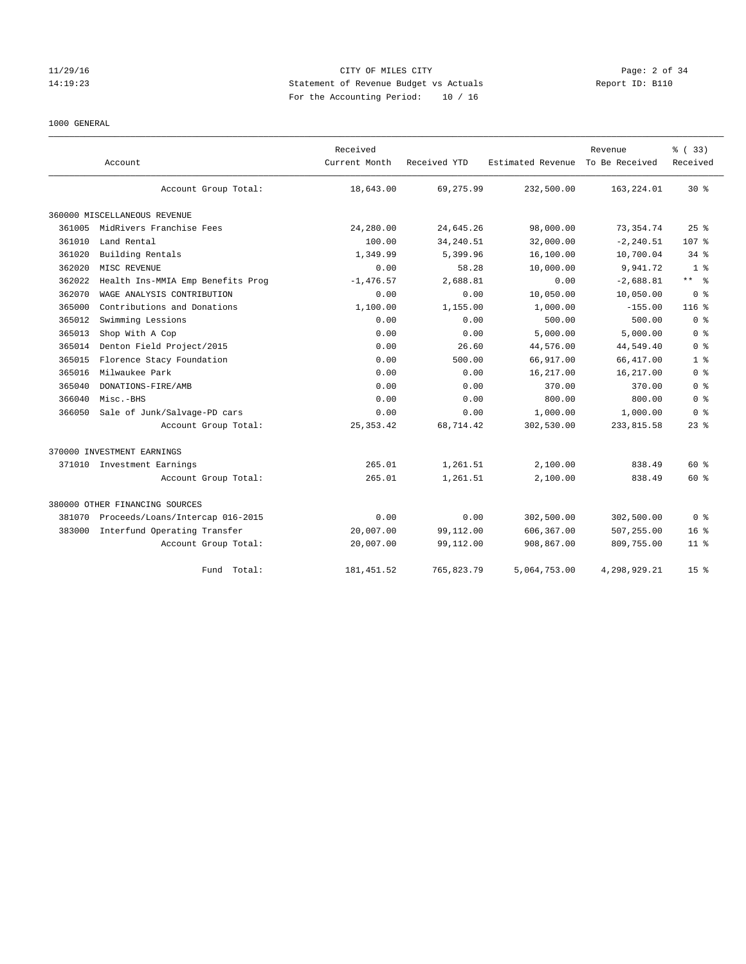## 11/29/16 CITY OF MILES CITY Page: 2 of 34 14:19:23 Statement of Revenue Budget vs Actuals Report ID: B110 For the Accounting Period: 10 / 16

#### 1000 GENERAL

|        | Account                           | Received<br>Current Month | Received YTD | Estimated Revenue To Be Received | Revenue      | % (33)<br>Received |
|--------|-----------------------------------|---------------------------|--------------|----------------------------------|--------------|--------------------|
|        | Account Group Total:              | 18,643.00                 | 69, 275.99   | 232,500.00                       | 163,224.01   | $30*$              |
|        | 360000 MISCELLANEOUS REVENUE      |                           |              |                                  |              |                    |
| 361005 | MidRivers Franchise Fees          | 24,280.00                 | 24,645.26    | 98,000.00                        | 73, 354. 74  | 25%                |
| 361010 | Land Rental                       | 100.00                    | 34, 240.51   | 32,000.00                        | $-2, 240.51$ | 107 <sub>8</sub>   |
| 361020 | Building Rentals                  | 1,349.99                  | 5,399.96     | 16,100.00                        | 10,700.04    | $34$ $%$           |
| 362020 | MISC REVENUE                      | 0.00                      | 58.28        | 10,000.00                        | 9,941.72     | 1 <sup>8</sup>     |
| 362022 | Health Ins-MMIA Emp Benefits Prog | $-1,476.57$               | 2,688.81     | 0.00                             | $-2,688.81$  | $***$ $-$          |
| 362070 | WAGE ANALYSIS CONTRIBUTION        | 0.00                      | 0.00         | 10,050.00                        | 10,050.00    | 0 <sup>8</sup>     |
| 365000 | Contributions and Donations       | 1,100.00                  | 1,155.00     | 1,000.00                         | $-155.00$    | 116%               |
| 365012 | Swimming Lessions                 | 0.00                      | 0.00         | 500.00                           | 500.00       | 0 <sup>8</sup>     |
| 365013 | Shop With A Cop                   | 0.00                      | 0.00         | 5.000.00                         | 5.000.00     | 0 <sup>8</sup>     |
| 365014 | Denton Field Project/2015         | 0.00                      | 26.60        | 44,576.00                        | 44,549.40    | 0 <sup>8</sup>     |
| 365015 | Florence Stacy Foundation         | 0.00                      | 500.00       | 66,917.00                        | 66, 417.00   | 1 <sup>8</sup>     |
| 365016 | Milwaukee Park                    | 0.00                      | 0.00         | 16,217.00                        | 16,217.00    | 0 <sup>8</sup>     |
| 365040 | DONATIONS-FIRE/AMB                | 0.00                      | 0.00         | 370.00                           | 370.00       | 0 <sup>8</sup>     |
| 366040 | Misc.-BHS                         | 0.00                      | 0.00         | 800.00                           | 800.00       | 0 <sup>8</sup>     |
| 366050 | Sale of Junk/Salvage-PD cars      | 0.00                      | 0.00         | 1,000.00                         | 1,000.00     | 0 <sup>8</sup>     |
|        | Account Group Total:              | 25, 353.42                | 68,714.42    | 302,530.00                       | 233,815.58   | $23$ $%$           |
|        | 370000 INVESTMENT EARNINGS        |                           |              |                                  |              |                    |
|        | 371010 Investment Earnings        | 265.01                    | 1,261.51     | 2,100.00                         | 838.49       | $60*$              |
|        | Account Group Total:              | 265.01                    | 1,261.51     | 2,100.00                         | 838.49       | $60*$              |
|        | 380000 OTHER FINANCING SOURCES    |                           |              |                                  |              |                    |
| 381070 | Proceeds/Loans/Intercap 016-2015  | 0.00                      | 0.00         | 302,500.00                       | 302,500.00   | 0 <sup>8</sup>     |
| 383000 | Interfund Operating Transfer      | 20,007.00                 | 99,112.00    | 606,367.00                       | 507,255.00   | 16 <sup>8</sup>    |
|        | Account Group Total:              | 20,007.00                 | 99,112.00    | 908,867.00                       | 809,755.00   | 11 <sup>8</sup>    |
|        | Fund Total:                       | 181, 451.52               | 765,823.79   | 5,064,753.00                     | 4,298,929.21 | 15 <sup>8</sup>    |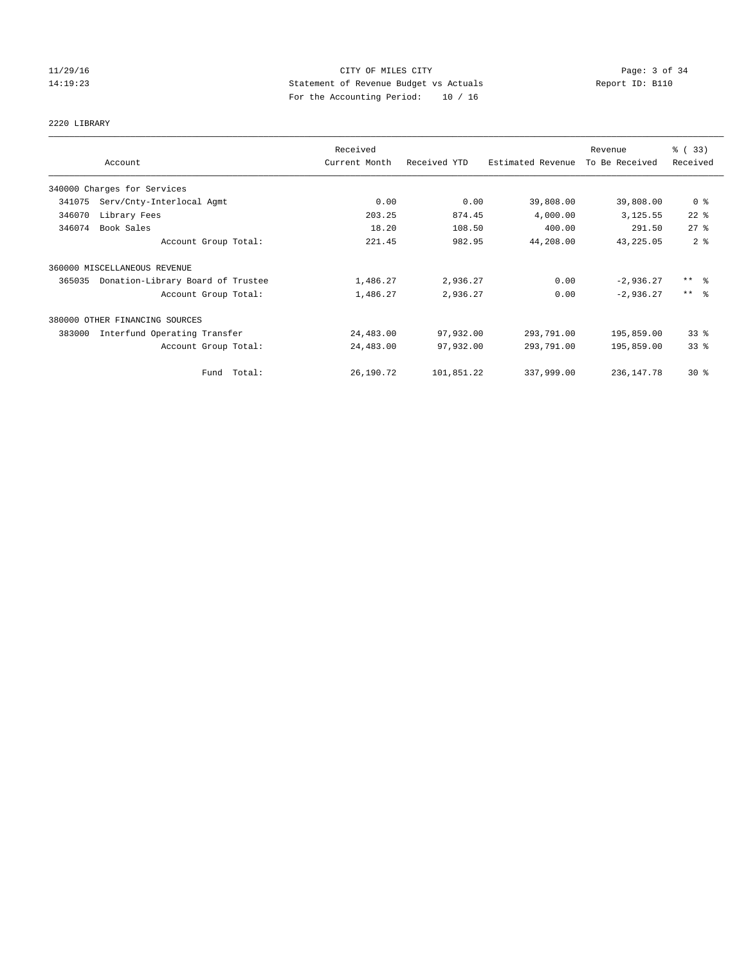## 11/29/16 CITY OF MILES CITY Page: 3 of 34 14:19:23 Statement of Revenue Budget vs Actuals Report ID: B110 For the Accounting Period: 10 / 16

# 2220 LIBRARY

|        |                                   | Received      |              |                   | Revenue        | % (33)              |
|--------|-----------------------------------|---------------|--------------|-------------------|----------------|---------------------|
|        | Account                           | Current Month | Received YTD | Estimated Revenue | To Be Received | Received            |
|        | 340000 Charges for Services       |               |              |                   |                |                     |
| 341075 | Serv/Cnty-Interlocal Agmt         | 0.00          | 0.00         | 39,808.00         | 39,808.00      | 0 <sup>8</sup>      |
| 346070 | Library Fees                      | 203.25        | 874.45       | 4,000.00          | 3,125.55       | $22$ $%$            |
| 346074 | Book Sales                        | 18.20         | 108.50       | 400.00            | 291.50         | $27$ $%$            |
|        | Account Group Total:              | 221.45        | 982.95       | 44,208.00         | 43, 225.05     | 2 <sup>8</sup>      |
|        | 360000 MISCELLANEOUS REVENUE      |               |              |                   |                |                     |
| 365035 | Donation-Library Board of Trustee | 1,486.27      | 2,936.27     | 0.00              | $-2,936.27$    | $***$ $\frac{6}{5}$ |
|        | Account Group Total:              | 1,486.27      | 2,936.27     | 0.00              | $-2,936.27$    | $***$ $=$           |
|        | 380000 OTHER FINANCING SOURCES    |               |              |                   |                |                     |
| 383000 | Interfund Operating Transfer      | 24,483.00     | 97,932.00    | 293,791.00        | 195,859.00     | 33%                 |
|        | Account Group Total:              | 24,483.00     | 97,932.00    | 293,791.00        | 195,859.00     | 33%                 |
|        | Fund Total:                       | 26,190.72     | 101,851.22   | 337,999.00        | 236, 147. 78   | $30*$               |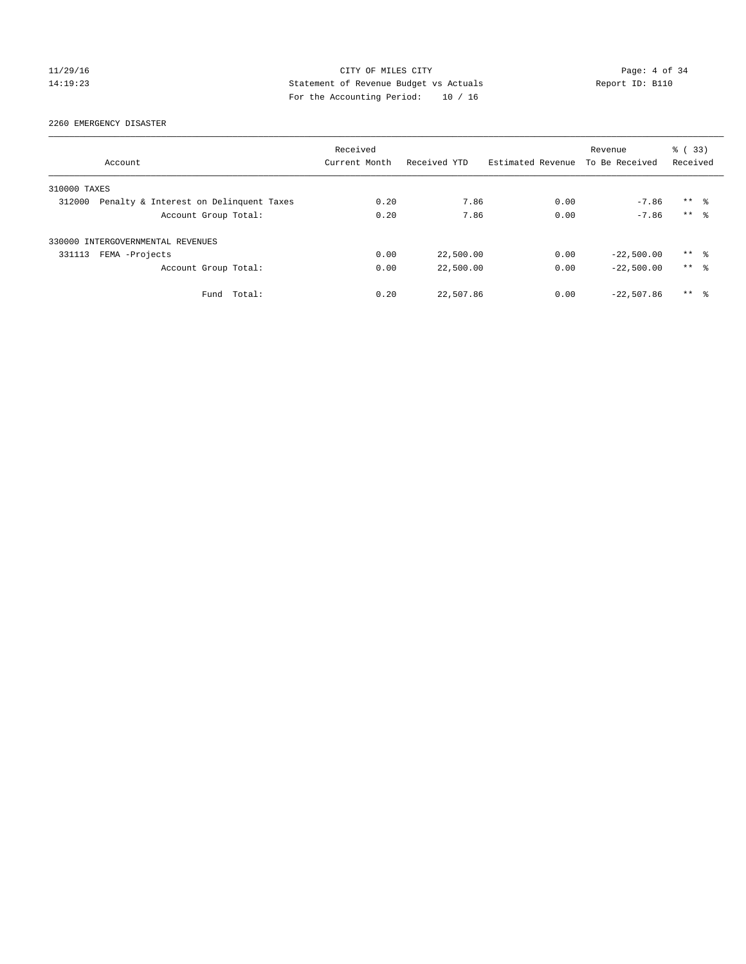## 11/29/16 CITY OF MILES CITY Page: 4 of 34 14:19:23 Statement of Revenue Budget vs Actuals Report ID: B110 For the Accounting Period: 10 / 16

2260 EMERGENCY DISASTER

|              |                                        | Received      |              |                   | Revenue        | % (33)              |  |
|--------------|----------------------------------------|---------------|--------------|-------------------|----------------|---------------------|--|
|              | Account                                | Current Month | Received YTD | Estimated Revenue | To Be Received | Received            |  |
| 310000 TAXES |                                        |               |              |                   |                |                     |  |
| 312000       | Penalty & Interest on Delinquent Taxes | 0.20          | 7.86         | 0.00              | $-7.86$        | $***$ $\frac{6}{3}$ |  |
|              | Account Group Total:                   | 0.20          | 7.86         | 0.00              | $-7.86$        | $***$ $\approx$     |  |
|              | 330000 INTERGOVERNMENTAL REVENUES      |               |              |                   |                |                     |  |
| 331113       | FEMA -Projects                         | 0.00          | 22,500.00    | 0.00              | $-22,500.00$   | ** 8                |  |
|              | Account Group Total:                   | 0.00          | 22,500.00    | 0.00              | $-22,500.00$   | $***$ $ -$          |  |
|              | Total:<br>Fund                         | 0.20          | 22,507.86    | 0.00              | $-22,507.86$   | $***$ $\frac{6}{3}$ |  |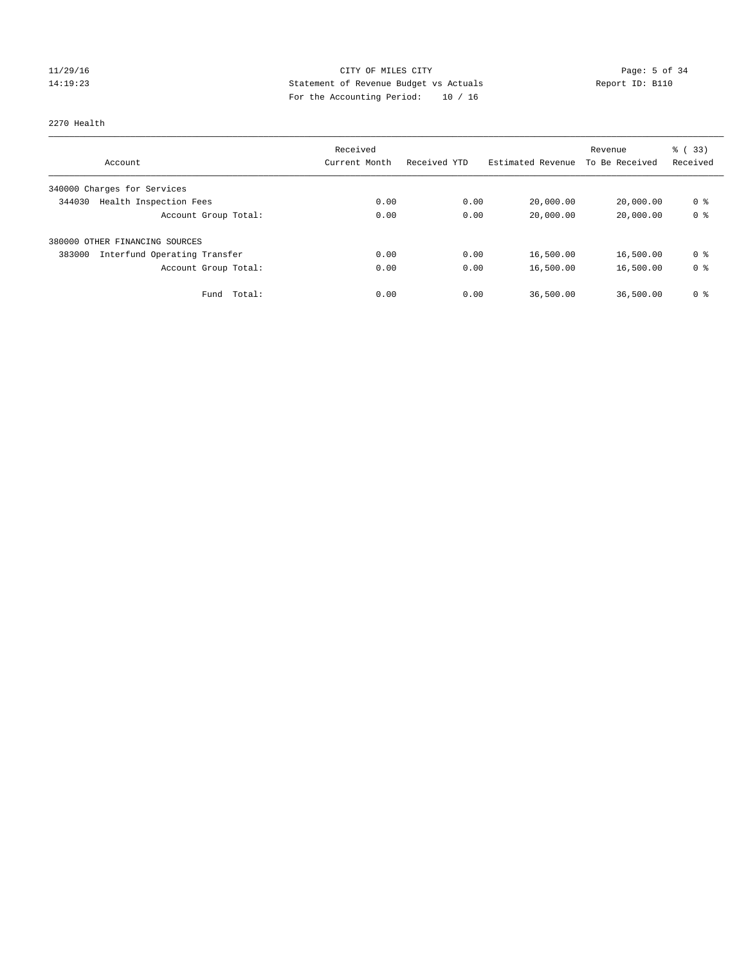## 11/29/16 CITY OF MILES CITY Page: 5 of 34 14:19:23 Statement of Revenue Budget vs Actuals Report ID: B110 For the Accounting Period: 10 / 16

#### 2270 Health

|                                        | Received      |              |                   | Revenue        | % (33)         |
|----------------------------------------|---------------|--------------|-------------------|----------------|----------------|
| Account                                | Current Month | Received YTD | Estimated Revenue | To Be Received | Received       |
| 340000 Charges for Services            |               |              |                   |                |                |
| Health Inspection Fees<br>344030       | 0.00          | 0.00         | 20,000.00         | 20,000.00      | 0 <sup>8</sup> |
| Account Group Total:                   | 0.00          | 0.00         | 20,000.00         | 20,000.00      | 0 <sup>8</sup> |
| 380000 OTHER FINANCING SOURCES         |               |              |                   |                |                |
| Interfund Operating Transfer<br>383000 | 0.00          | 0.00         | 16,500.00         | 16,500.00      | 0 <sup>8</sup> |
| Account Group Total:                   | 0.00          | 0.00         | 16,500.00         | 16,500.00      | 0 <sup>8</sup> |
| Total:<br>Fund                         | 0.00          | 0.00         | 36,500.00         | 36,500.00      | 0 %            |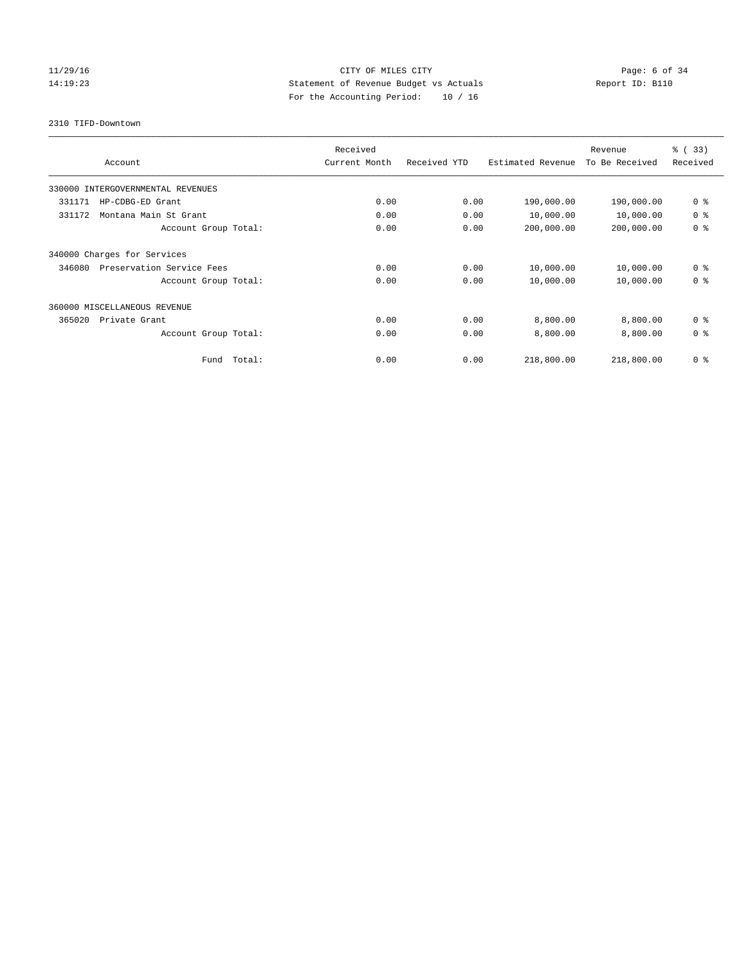## 11/29/16 CITY OF MILES CITY Page: 6 of 34 14:19:23 Statement of Revenue Budget vs Actuals Report ID: B110 For the Accounting Period: 10 / 16

2310 TIFD-Downtown

| Account                             | Received<br>Current Month | Received YTD | Estimated Revenue | Revenue<br>To Be Received | % (33)<br>Received |
|-------------------------------------|---------------------------|--------------|-------------------|---------------------------|--------------------|
| 330000 INTERGOVERNMENTAL REVENUES   |                           |              |                   |                           |                    |
| 331171<br>HP-CDBG-ED Grant          | 0.00                      | 0.00         | 190,000.00        | 190,000.00                | 0 <sup>8</sup>     |
| 331172<br>Montana Main St Grant     | 0.00                      | 0.00         | 10,000.00         | 10,000.00                 | 0 <sup>8</sup>     |
| Account Group Total:                | 0.00                      | 0.00         | 200,000.00        | 200,000.00                | 0 <sup>8</sup>     |
| 340000 Charges for Services         |                           |              |                   |                           |                    |
| Preservation Service Fees<br>346080 | 0.00                      | 0.00         | 10,000.00         | 10,000.00                 | 0 <sup>8</sup>     |
| Account Group Total:                | 0.00                      | 0.00         | 10,000.00         | 10,000.00                 | 0 <sup>8</sup>     |
| 360000 MISCELLANEOUS REVENUE        |                           |              |                   |                           |                    |
| 365020<br>Private Grant             | 0.00                      | 0.00         | 8,800.00          | 8,800.00                  | 0 <sup>8</sup>     |
| Account Group Total:                | 0.00                      | 0.00         | 8,800.00          | 8,800.00                  | 0 <sup>8</sup>     |
| Total:<br>Fund                      | 0.00                      | 0.00         | 218,800.00        | 218,800.00                | 0 <sup>8</sup>     |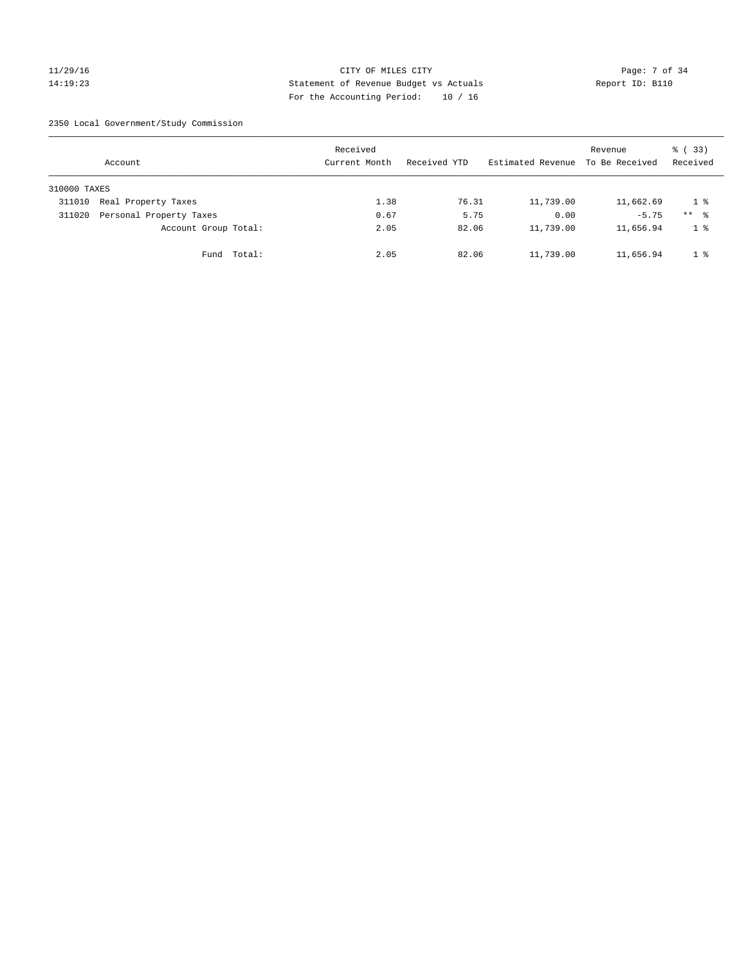## 11/29/16 CITY OF MILES CITY Page: 7 of 34 14:19:23 Statement of Revenue Budget vs Actuals Report ID: B110 For the Accounting Period: 10 / 16

2350 Local Government/Study Commission

|              | Account                 |             | Received<br>Current Month |      | Received YTD |       | Estimated Revenue | Revenue<br>To Be Received | % (33)<br>Received |
|--------------|-------------------------|-------------|---------------------------|------|--------------|-------|-------------------|---------------------------|--------------------|
| 310000 TAXES |                         |             |                           |      |              |       |                   |                           |                    |
| 311010       | Real Property Taxes     |             |                           | 1.38 |              | 76.31 | 11,739.00         | 11,662.69                 | $1 \circ$          |
| 311020       | Personal Property Taxes |             |                           | 0.67 |              | 5.75  | 0.00              | $-5.75$                   | $***$ %            |
|              | Account Group Total:    |             |                           | 2.05 |              | 82.06 | 11,739.00         | 11,656.94                 | 1 <sup>°</sup>     |
|              |                         | Fund Total: |                           | 2.05 |              | 82.06 | 11,739.00         | 11,656.94                 | 1 <sup>8</sup>     |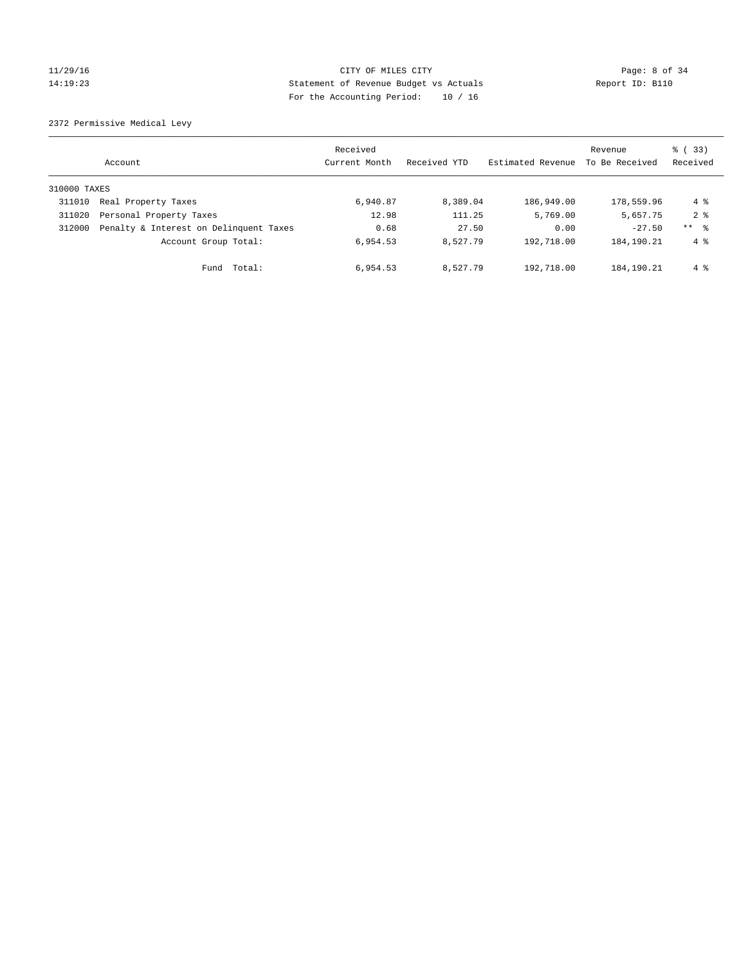## 11/29/16 CITY OF MILES CITY Page: 8 of 34 14:19:23 Statement of Revenue Budget vs Actuals Report ID: B110 For the Accounting Period: 10 / 16

2372 Permissive Medical Levy

|              | Account                                | Received<br>Current Month | Received YTD | Estimated Revenue | Revenue<br>To Be Received | $\frac{1}{6}$ (33)<br>Received |
|--------------|----------------------------------------|---------------------------|--------------|-------------------|---------------------------|--------------------------------|
| 310000 TAXES |                                        |                           |              |                   |                           |                                |
| 311010       | Real Property Taxes                    | 6,940.87                  | 8,389.04     | 186,949.00        | 178,559.96                | 4 %                            |
| 311020       | Personal Property Taxes                | 12.98                     | 111.25       | 5,769.00          | 5,657.75                  | 2 <sub>8</sub>                 |
| 312000       | Penalty & Interest on Delinquent Taxes | 0.68                      | 27.50        | 0.00              | $-27.50$                  | ** %                           |
|              | Account Group Total:                   | 6,954.53                  | 8.527.79     | 192,718.00        | 184, 190. 21              | $4 \text{ }$                   |
|              | Total:<br>Fund                         | 6,954.53                  | 8.527.79     | 192,718.00        | 184,190.21                | 4 %                            |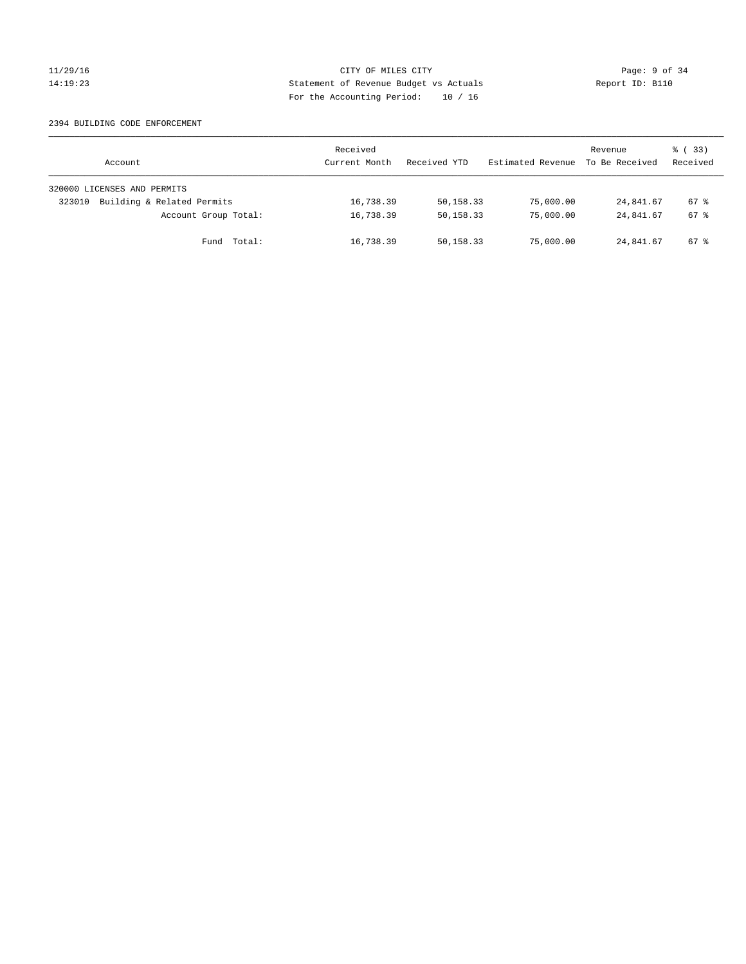## 11/29/16 CITY OF MILES CITY Page: 9 of 34 14:19:23 Statement of Revenue Budget vs Actuals Report ID: B110 For the Accounting Period: 10 / 16

#### 2394 BUILDING CODE ENFORCEMENT

| Account                              | Received<br>Current Month | Received YTD | Estimated Revenue | Revenue<br>To Be Received | 8 (33)<br>Received |
|--------------------------------------|---------------------------|--------------|-------------------|---------------------------|--------------------|
| 320000 LICENSES AND PERMITS          |                           |              |                   |                           |                    |
| Building & Related Permits<br>323010 | 16,738.39                 | 50,158.33    | 75,000.00         | 24,841.67                 | $67*$              |
| Account Group Total:                 | 16,738.39                 | 50,158.33    | 75,000.00         | 24,841.67                 | $67*$              |
| Fund Total:                          | 16,738.39                 | 50,158.33    | 75,000.00         | 24,841.67                 | 67 %               |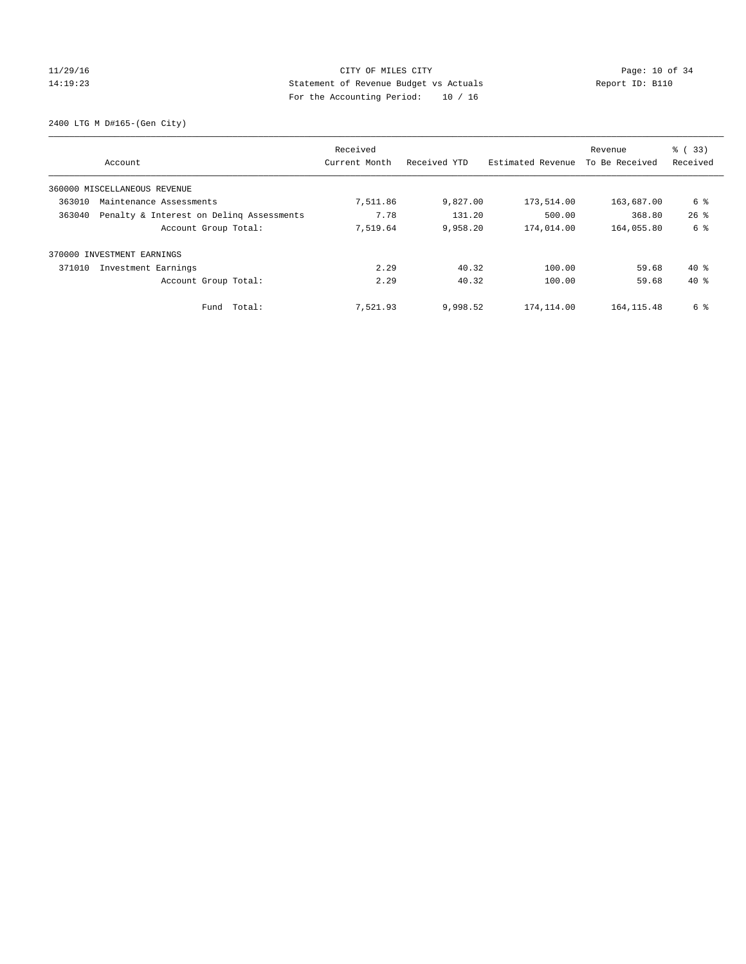## 11/29/16 Page: 10 of 34 14:19:23 Statement of Revenue Budget vs Actuals Report ID: B110 For the Accounting Period: 10 / 16

2400 LTG M D#165-(Gen City)

|        | Account                                  | Received<br>Current Month | Received YTD | Estimated Revenue | Revenue<br>To Be Received | $\frac{1}{6}$ (33)<br>Received |
|--------|------------------------------------------|---------------------------|--------------|-------------------|---------------------------|--------------------------------|
|        | 360000 MISCELLANEOUS REVENUE             |                           |              |                   |                           |                                |
| 363010 | Maintenance Assessments                  | 7,511.86                  | 9,827.00     | 173,514.00        | 163,687.00                | 6 %                            |
| 363040 | Penalty & Interest on Deling Assessments | 7.78                      | 131.20       | 500.00            | 368.80                    | $26$ $\frac{6}{3}$             |
|        | Account Group Total:                     | 7,519.64                  | 9,958.20     | 174,014.00        | 164,055.80                | 6 %                            |
| 370000 | INVESTMENT EARNINGS                      |                           |              |                   |                           |                                |
| 371010 | Investment Earnings                      | 2.29                      | 40.32        | 100.00            | 59.68                     | $40*$                          |
|        | Account Group Total:                     | 2.29                      | 40.32        | 100.00            | 59.68                     | $40*$                          |
|        | Fund Total:                              | 7,521.93                  | 9,998.52     | 174,114.00        | 164, 115.48               | 6 %                            |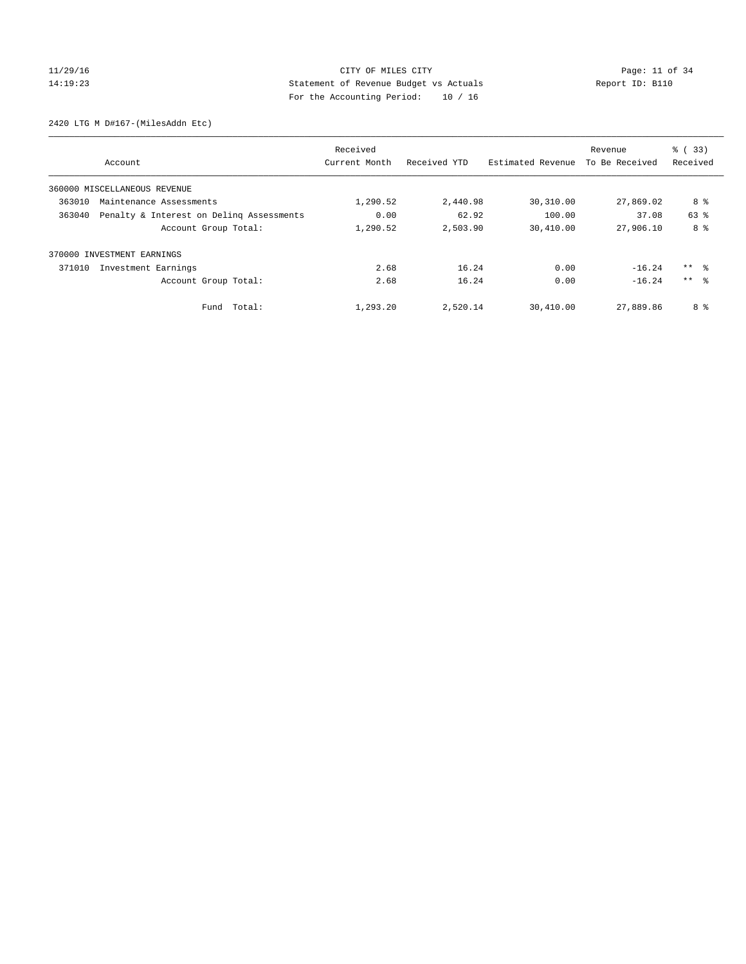## 11/29/16 Page: 11 of 34 14:19:23 Statement of Revenue Budget vs Actuals Report ID: B110 For the Accounting Period: 10 / 16

2420 LTG M D#167-(MilesAddn Etc)

|                                                    | Received      |              |                   | Revenue        | % (33)          |
|----------------------------------------------------|---------------|--------------|-------------------|----------------|-----------------|
| Account                                            | Current Month | Received YTD | Estimated Revenue | To Be Received | Received        |
| 360000 MISCELLANEOUS REVENUE                       |               |              |                   |                |                 |
| 363010<br>Maintenance Assessments                  | 1,290.52      | 2,440.98     | 30,310.00         | 27,869.02      | 8 %             |
| 363040<br>Penalty & Interest on Deling Assessments | 0.00          | 62.92        | 100.00            | 37.08          | 63 %            |
| Account Group Total:                               | 1,290.52      | 2,503.90     | 30,410.00         | 27,906.10      | 8 %             |
| 370000 INVESTMENT EARNINGS                         |               |              |                   |                |                 |
| 371010<br>Investment Earnings                      | 2.68          | 16.24        | 0.00              | $-16.24$       | ** 왕            |
| Account Group Total:                               | 2.68          | 16.24        | 0.00              | $-16.24$       | $***$ $\approx$ |
| Total:<br>Fund                                     | 1,293.20      | 2,520.14     | 30,410.00         | 27,889.86      | 8 %             |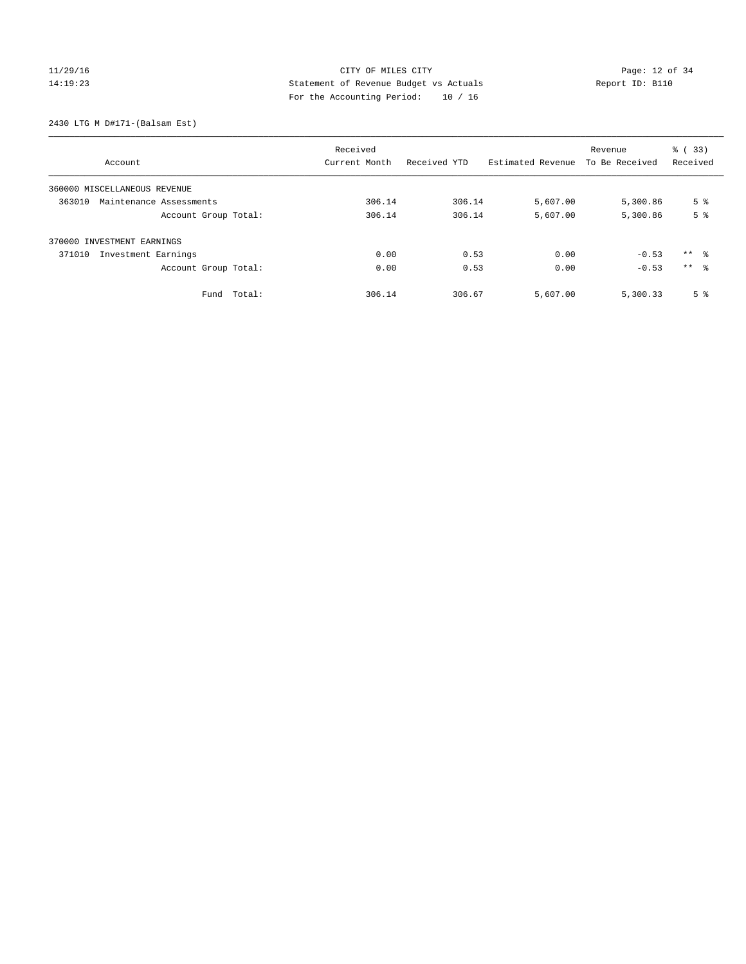# $CITY$  OF MILES  $CITY$  and the contract of  $34$ 14:19:23 Statement of Revenue Budget vs Actuals Report ID: B110 For the Accounting Period: 10 / 16

2430 LTG M D#171-(Balsam Est)

| Account                           | Received<br>Current Month | Received YTD | Estimated Revenue | Revenue<br>To Be Received | % (33)<br>Received |
|-----------------------------------|---------------------------|--------------|-------------------|---------------------------|--------------------|
|                                   |                           |              |                   |                           |                    |
| 360000 MISCELLANEOUS REVENUE      |                           |              |                   |                           |                    |
| 363010<br>Maintenance Assessments | 306.14                    | 306.14       | 5,607.00          | 5,300.86                  | 5 <sup>°</sup>     |
| Account Group Total:              | 306.14                    | 306.14       | 5,607.00          | 5,300.86                  | 5 <sup>8</sup>     |
| 370000 INVESTMENT EARNINGS        |                           |              |                   |                           |                    |
| 371010<br>Investment Earnings     | 0.00                      | 0.53         | 0.00              | $-0.53$                   | $***$ $\approx$    |
| Account Group Total:              | 0.00                      | 0.53         | 0.00              | $-0.53$                   | $***$ 8            |
| Total:<br>Fund                    | 306.14                    | 306.67       | 5,607.00          | 5,300.33                  | 5 <sup>°</sup>     |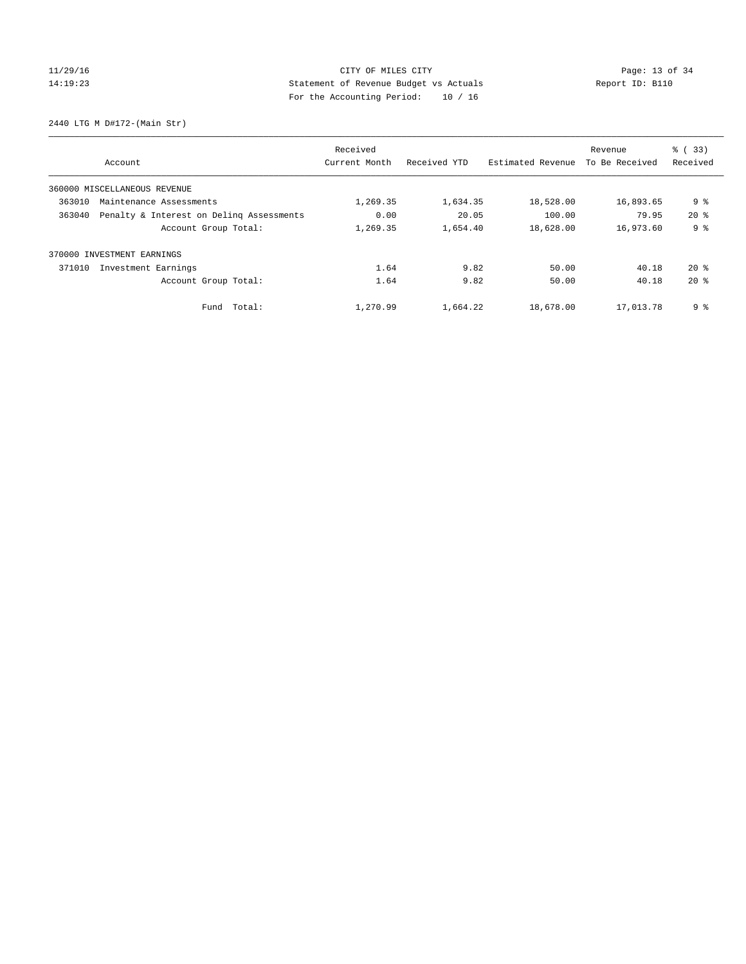# $CITY$  OF MILES  $CITY$  and the contract of  $P_1$  Page: 13 of 34 14:19:23 Statement of Revenue Budget vs Actuals Report ID: B110 For the Accounting Period: 10 / 16

2440 LTG M D#172-(Main Str)

| Account                                            | Received<br>Current Month | Received YTD | Estimated Revenue | Revenue<br>To Be Received | % (33)<br>Received |
|----------------------------------------------------|---------------------------|--------------|-------------------|---------------------------|--------------------|
|                                                    |                           |              |                   |                           |                    |
| 360000 MISCELLANEOUS REVENUE                       |                           |              |                   |                           |                    |
| 363010<br>Maintenance Assessments                  | 1,269.35                  | 1,634.35     | 18,528.00         | 16,893.65                 | 9 <sub>8</sub>     |
| Penalty & Interest on Deling Assessments<br>363040 | 0.00                      | 20.05        | 100.00            | 79.95                     | $20*$              |
| Account Group Total:                               | 1,269.35                  | 1,654.40     | 18,628.00         | 16,973.60                 | 9 <sub>8</sub>     |
| INVESTMENT EARNINGS<br>370000                      |                           |              |                   |                           |                    |
| 371010<br>Investment Earnings                      | 1.64                      | 9.82         | 50.00             | 40.18                     | $20*$              |
| Account Group Total:                               | 1.64                      | 9.82         | 50.00             | 40.18                     | $20*$              |
| Fund Total:                                        | 1,270.99                  | 1,664.22     | 18,678.00         | 17,013.78                 | 9%                 |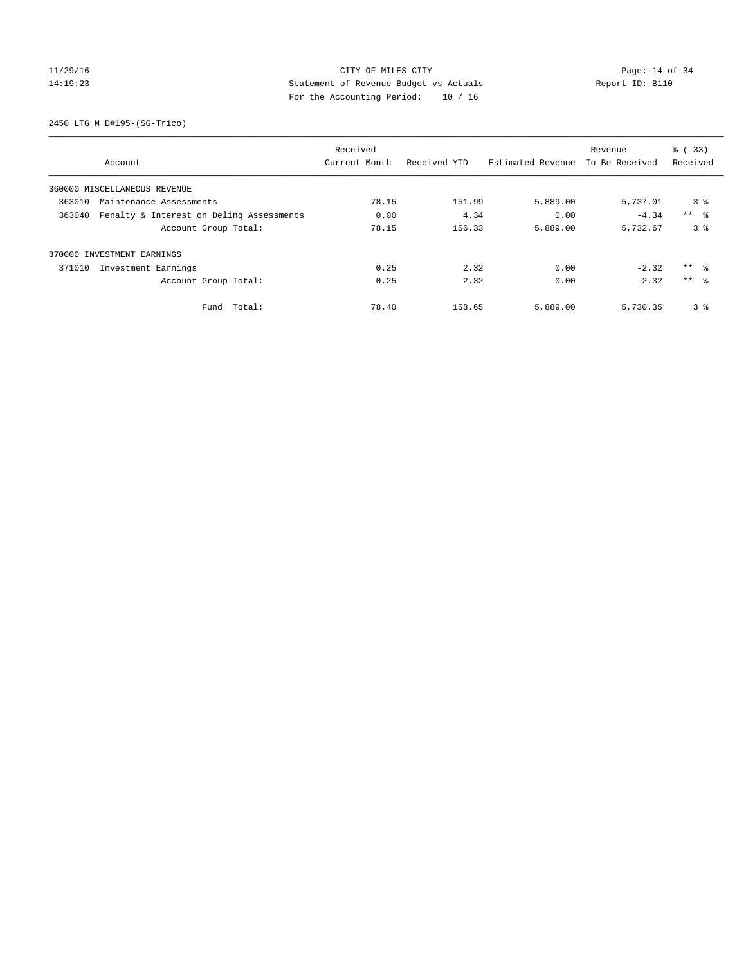## 11/29/16 CITY OF MILES CITY Page: 14 of 34 14:19:23 Statement of Revenue Budget vs Actuals Report ID: B110 For the Accounting Period: 10 / 16

2450 LTG M D#195-(SG-Trico)

|        |                                          | Received      |              |                   | Revenue        | % (33)          |
|--------|------------------------------------------|---------------|--------------|-------------------|----------------|-----------------|
|        | Account                                  | Current Month | Received YTD | Estimated Revenue | To Be Received | Received        |
|        | 360000 MISCELLANEOUS REVENUE             |               |              |                   |                |                 |
| 363010 | Maintenance Assessments                  | 78.15         | 151.99       | 5,889.00          | 5,737.01       | 3 <sup>8</sup>  |
| 363040 | Penalty & Interest on Deling Assessments | 0.00          | 4.34         | 0.00              | $-4.34$        | $***$ $ -$      |
|        | Account Group Total:                     | 78.15         | 156.33       | 5,889.00          | 5,732.67       | 3 <sup>8</sup>  |
|        | 370000 INVESTMENT EARNINGS               |               |              |                   |                |                 |
| 371010 | Investment Earnings                      | 0.25          | 2.32         | 0.00              | $-2.32$        | ** 왕            |
|        | Account Group Total:                     | 0.25          | 2.32         | 0.00              | $-2.32$        | $***$ $\approx$ |
|        | Total:<br>Fund                           | 78.40         | 158.65       | 5,889.00          | 5,730.35       | 3%              |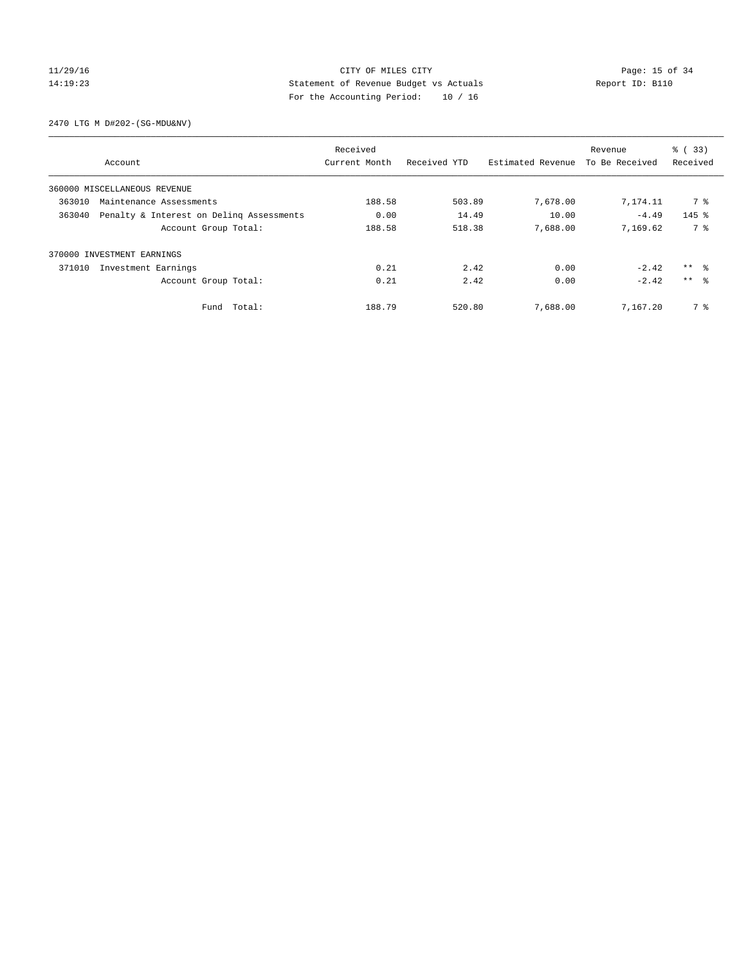## 11/29/16 Page: 15 of 34 14:19:23 Statement of Revenue Budget vs Actuals Report ID: B110 For the Accounting Period: 10 / 16

2470 LTG M D#202-(SG-MDU&NV)

|        |                                          | Received      |              |                   | Revenue        | % (33)              |
|--------|------------------------------------------|---------------|--------------|-------------------|----------------|---------------------|
|        | Account                                  | Current Month | Received YTD | Estimated Revenue | To Be Received | Received            |
|        | 360000 MISCELLANEOUS REVENUE             |               |              |                   |                |                     |
| 363010 | Maintenance Assessments                  | 188.58        | 503.89       | 7,678.00          | 7,174.11       | 7 %                 |
| 363040 | Penalty & Interest on Deling Assessments | 0.00          | 14.49        | 10.00             | $-4.49$        | $145$ %             |
|        | Account Group Total:                     | 188.58        | 518.38       | 7,688.00          | 7,169.62       | 7 %                 |
|        | 370000 INVESTMENT EARNINGS               |               |              |                   |                |                     |
| 371010 | Investment Earnings                      | 0.21          | 2.42         | 0.00              | $-2.42$        | $***$ $\frac{6}{3}$ |
|        | Account Group Total:                     | 0.21          | 2.42         | 0.00              | $-2.42$        | $***$ $\approx$     |
|        | Fund Total:                              | 188.79        | 520.80       | 7,688.00          | 7,167.20       | 7 %                 |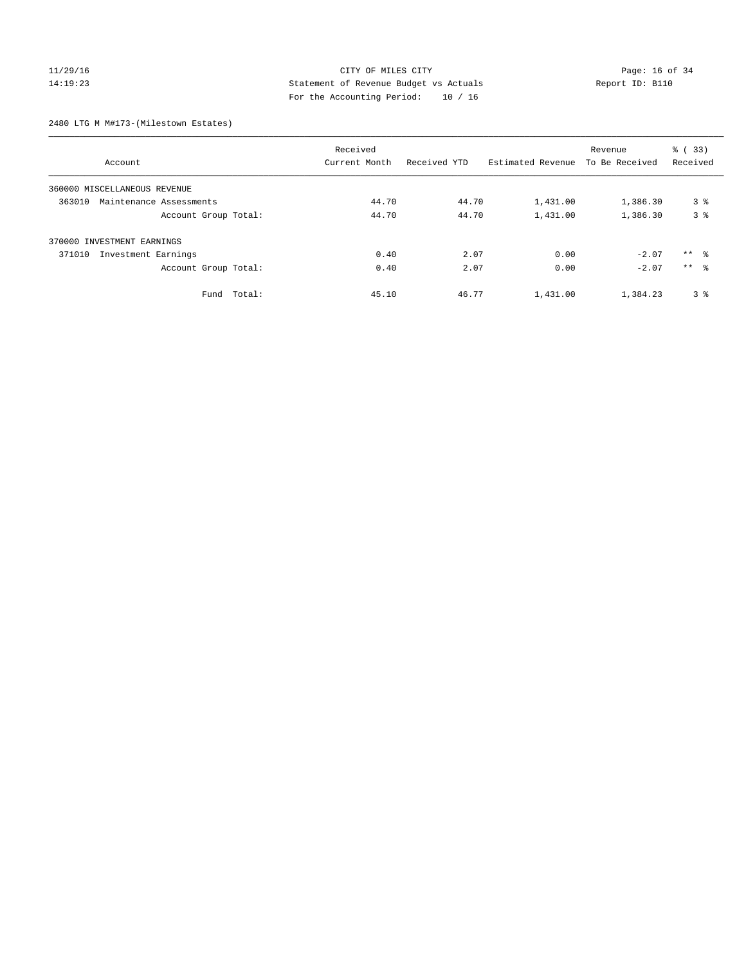## 11/29/16 Page: 16 of 34 14:19:23 Statement of Revenue Budget vs Actuals Report ID: B110 For the Accounting Period: 10 / 16

2480 LTG M M#173-(Milestown Estates)

| Account                           | Received<br>Current Month | Received YTD | Estimated Revenue | Revenue<br>To Be Received | % (33)<br>Received |
|-----------------------------------|---------------------------|--------------|-------------------|---------------------------|--------------------|
|                                   |                           |              |                   |                           |                    |
| 360000 MISCELLANEOUS REVENUE      |                           |              |                   |                           |                    |
| 363010<br>Maintenance Assessments | 44.70                     | 44.70        | 1,431.00          | 1,386.30                  | 3 <sup>8</sup>     |
| Account Group Total:              | 44.70                     | 44.70        | 1,431.00          | 1,386.30                  | 3 <sup>8</sup>     |
| 370000 INVESTMENT EARNINGS        |                           |              |                   |                           |                    |
| 371010<br>Investment Earnings     | 0.40                      | 2.07         | 0.00              | $-2.07$                   | ** 8               |
| Account Group Total:              | 0.40                      | 2.07         | 0.00              | $-2.07$                   | $***$ $\approx$    |
| Total:<br>Fund                    | 45.10                     | 46.77        | 1,431.00          | 1,384.23                  | 3 <sup>8</sup>     |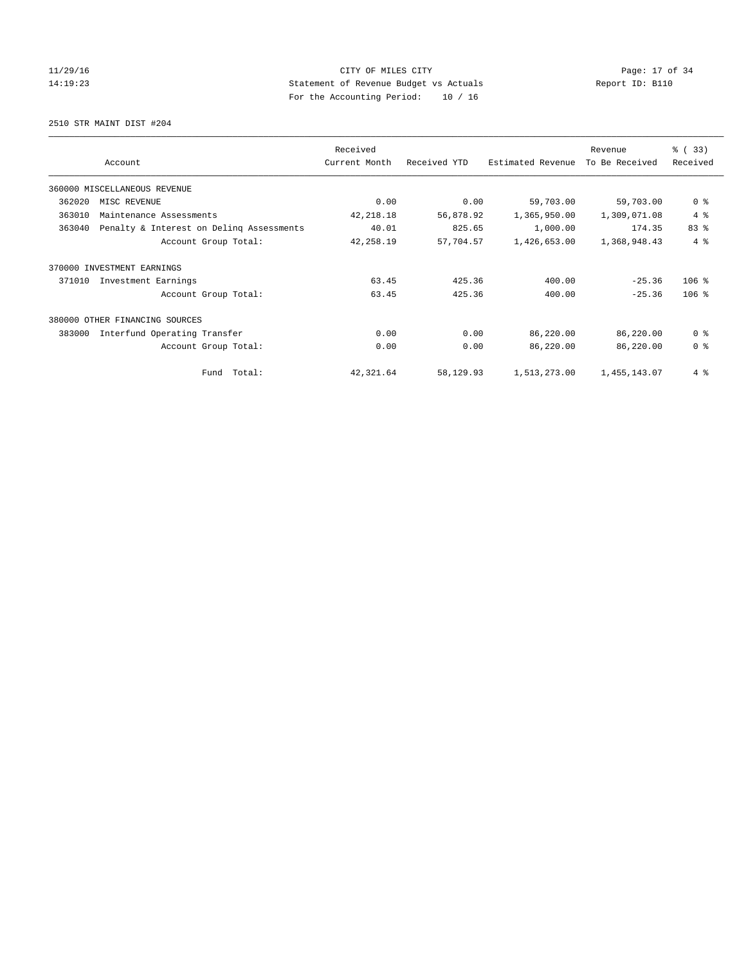## 11/29/16 Page: 17 of 34 14:19:23 Statement of Revenue Budget vs Actuals Report ID: B110 For the Accounting Period: 10 / 16

2510 STR MAINT DIST #204

|        |                                          | Received      |              |                   | Revenue        | % (33)         |
|--------|------------------------------------------|---------------|--------------|-------------------|----------------|----------------|
|        | Account                                  | Current Month | Received YTD | Estimated Revenue | To Be Received | Received       |
|        | 360000 MISCELLANEOUS REVENUE             |               |              |                   |                |                |
| 362020 | MISC REVENUE                             | 0.00          | 0.00         | 59,703.00         | 59,703.00      | 0 <sup>8</sup> |
| 363010 | Maintenance Assessments                  | 42, 218.18    | 56,878.92    | 1,365,950.00      | 1,309,071.08   | 4%             |
| 363040 | Penalty & Interest on Deling Assessments | 40.01         | 825.65       | 1,000.00          | 174.35         | 83 %           |
|        | Account Group Total:                     | 42,258.19     | 57,704.57    | 1,426,653.00      | 1,368,948.43   | 4%             |
| 370000 | INVESTMENT EARNINGS                      |               |              |                   |                |                |
| 371010 | Investment Earnings                      | 63.45         | 425.36       | 400.00            | $-25.36$       | $106$ %        |
|        | Account Group Total:                     | 63.45         | 425.36       | 400.00            | $-25.36$       | $106$ %        |
|        | 380000 OTHER FINANCING SOURCES           |               |              |                   |                |                |
| 383000 | Interfund Operating Transfer             | 0.00          | 0.00         | 86,220.00         | 86,220.00      | 0 <sup>8</sup> |
|        | Account Group Total:                     | 0.00          | 0.00         | 86,220.00         | 86,220.00      | 0 <sup>8</sup> |
|        | Fund Total:                              | 42,321.64     | 58,129.93    | 1,513,273.00      | 1,455,143.07   | 4%             |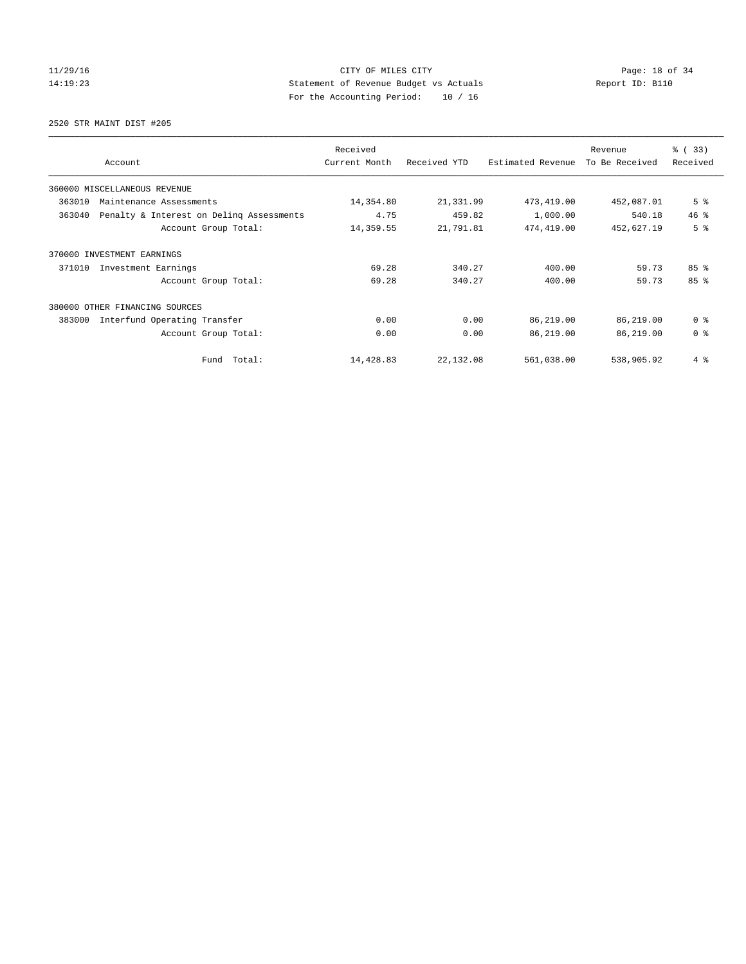## 11/29/16 CITY OF MILES CITY Page: 18 of 34 14:19:23 Statement of Revenue Budget vs Actuals Report ID: B110 For the Accounting Period: 10 / 16

2520 STR MAINT DIST #205

|                                                    | Received      |              |                   | Revenue        | % (33)          |
|----------------------------------------------------|---------------|--------------|-------------------|----------------|-----------------|
| Account                                            | Current Month | Received YTD | Estimated Revenue | To Be Received | Received        |
| 360000 MISCELLANEOUS REVENUE                       |               |              |                   |                |                 |
| 363010<br>Maintenance Assessments                  | 14,354.80     | 21,331.99    | 473, 419.00       | 452,087.01     | 5 <sup>°</sup>  |
| 363040<br>Penalty & Interest on Deling Assessments | 4.75          | 459.82       | 1,000.00          | 540.18         | 46.8            |
| Account Group Total:                               | 14,359.55     | 21,791.81    | 474,419.00        | 452,627.19     | 5 <sup>8</sup>  |
| 370000 INVESTMENT EARNINGS                         |               |              |                   |                |                 |
| 371010<br>Investment Earnings                      | 69.28         | 340.27       | 400.00            | 59.73          | 85 <sup>8</sup> |
| Account Group Total:                               | 69.28         | 340.27       | 400.00            | 59.73          | 85%             |
| 380000<br>OTHER FINANCING SOURCES                  |               |              |                   |                |                 |
| 383000<br>Interfund Operating Transfer             | 0.00          | 0.00         | 86,219.00         | 86,219.00      | 0 <sup>8</sup>  |
| Account Group Total:                               | 0.00          | 0.00         | 86,219.00         | 86,219.00      | 0 <sup>8</sup>  |
| Fund Total:                                        | 14,428.83     | 22,132.08    | 561,038.00        | 538,905.92     | 4%              |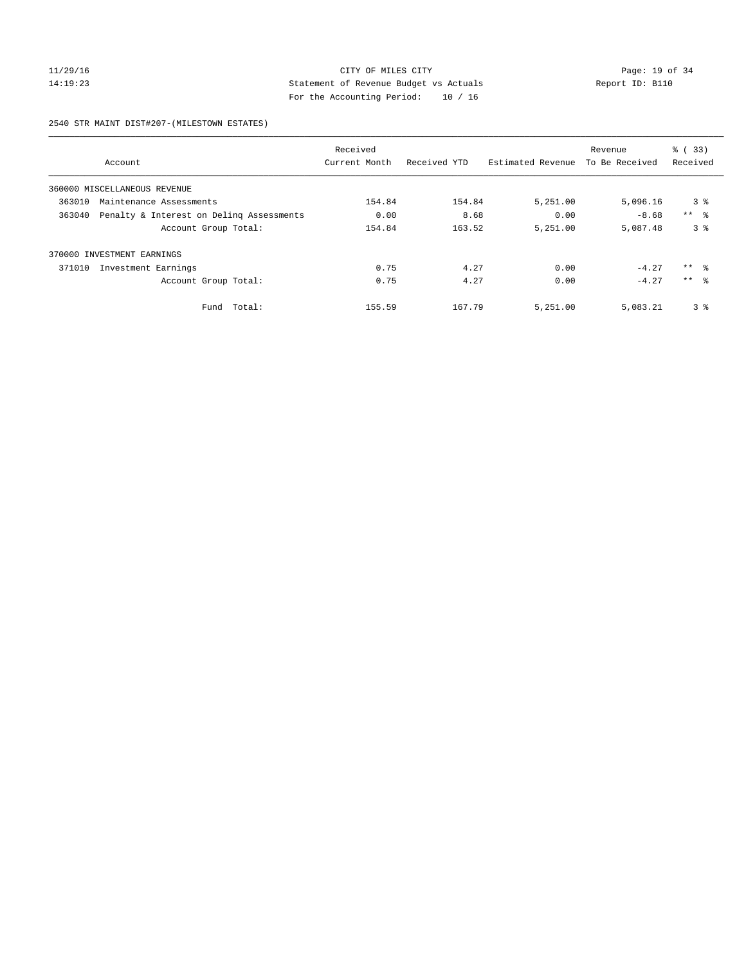## 11/29/16 Page: 19 of 34 14:19:23 Statement of Revenue Budget vs Actuals Report ID: B110 For the Accounting Period: 10 / 16

2540 STR MAINT DIST#207-(MILESTOWN ESTATES)

|        |                                          | Received      |              |                   | Revenue        | % (33)              |
|--------|------------------------------------------|---------------|--------------|-------------------|----------------|---------------------|
|        | Account                                  | Current Month | Received YTD | Estimated Revenue | To Be Received | Received            |
|        | 360000 MISCELLANEOUS REVENUE             |               |              |                   |                |                     |
| 363010 | Maintenance Assessments                  | 154.84        | 154.84       | 5,251.00          | 5,096.16       | 3 <sup>8</sup>      |
| 363040 | Penalty & Interest on Deling Assessments | 0.00          | 8.68         | 0.00              | $-8.68$        | $***$ $\approx$     |
|        | Account Group Total:                     | 154.84        | 163.52       | 5,251.00          | 5,087.48       | 3 <sup>8</sup>      |
|        | 370000 INVESTMENT EARNINGS               |               |              |                   |                |                     |
| 371010 | Investment Earnings                      | 0.75          | 4.27         | 0.00              | $-4.27$        | $***$ $\frac{6}{3}$ |
|        | Account Group Total:                     | 0.75          | 4.27         | 0.00              | $-4.27$        | $***$ $\approx$     |
|        | Total:<br>Fund                           | 155.59        | 167.79       | 5,251.00          | 5,083.21       | 3 <sup>8</sup>      |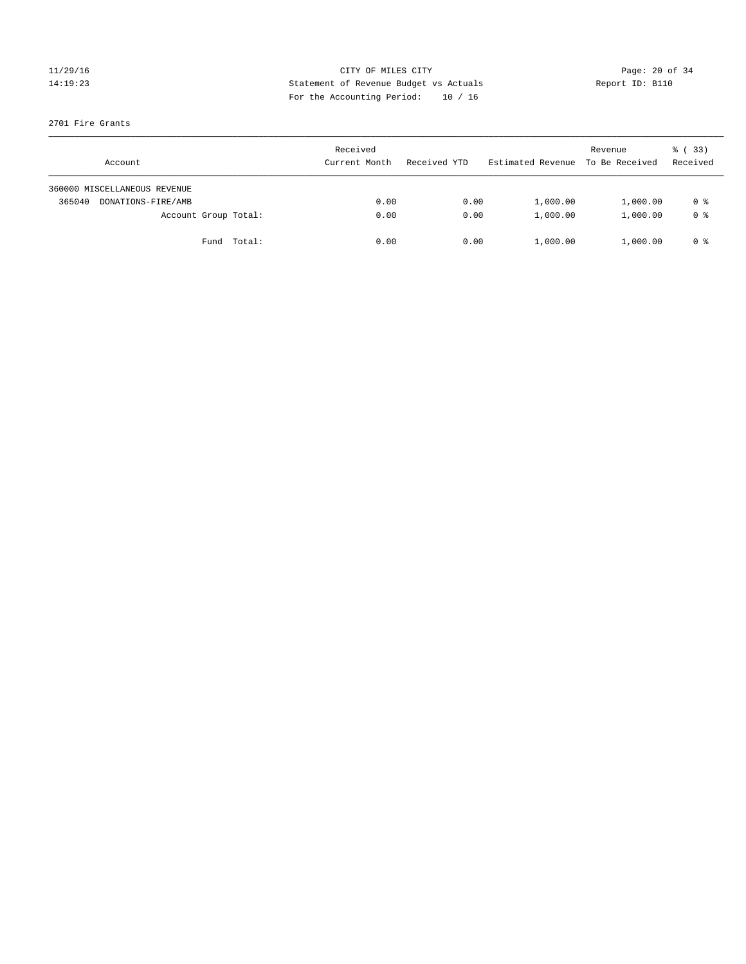## 11/29/16 Page: 20 of 34 14:19:23 Statement of Revenue Budget vs Actuals Report ID: B110 For the Accounting Period: 10 / 16

## 2701 Fire Grants

| Account                      |                      | Received<br>Current Month | Received YTD | Estimated Revenue | Revenue<br>To Be Received | 8 (33)<br>Received |
|------------------------------|----------------------|---------------------------|--------------|-------------------|---------------------------|--------------------|
| 360000 MISCELLANEOUS REVENUE |                      |                           |              |                   |                           |                    |
| 365040<br>DONATIONS-FIRE/AMB |                      | 0.00                      | 0.00         | 1,000.00          | 1,000.00                  | 0 %                |
|                              | Account Group Total: | 0.00                      | 0.00         | 1,000.00          | 1,000.00                  | 0 %                |
|                              | Fund Total:          | 0.00                      | 0.00         | 1,000.00          | 1,000.00                  | 0 %                |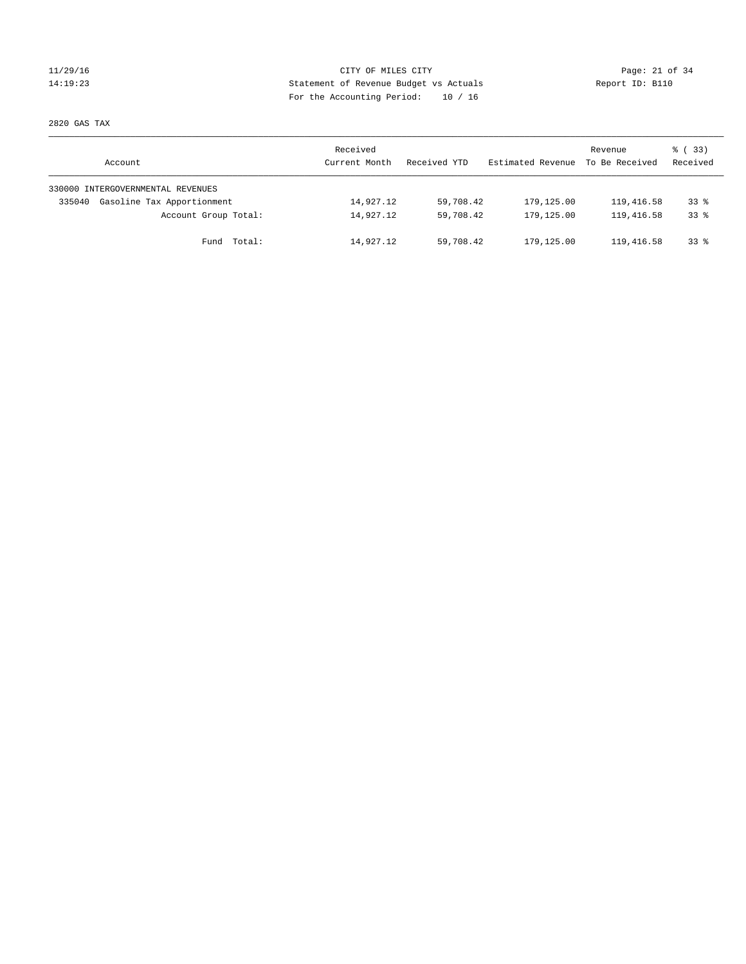## 11/29/16 Page: 21 of 34 14:19:23 Statement of Revenue Budget vs Actuals Report ID: B110 For the Accounting Period: 10 / 16

2820 GAS TAX

| Account                              | Received<br>Current Month | Received YTD | Estimated Revenue | Revenue<br>To Be Received | 8 (33)<br>Received |
|--------------------------------------|---------------------------|--------------|-------------------|---------------------------|--------------------|
| 330000 INTERGOVERNMENTAL REVENUES    |                           |              |                   |                           |                    |
| Gasoline Tax Apportionment<br>335040 | 14,927.12                 | 59,708.42    | 179,125.00        | 119,416.58                | $33*$              |
| Account Group Total:                 | 14,927.12                 | 59,708.42    | 179,125.00        | 119,416.58                | $33*$              |
| Total:<br>Fund                       | 14,927.12                 | 59,708.42    | 179,125.00        | 119,416.58                | $33*$              |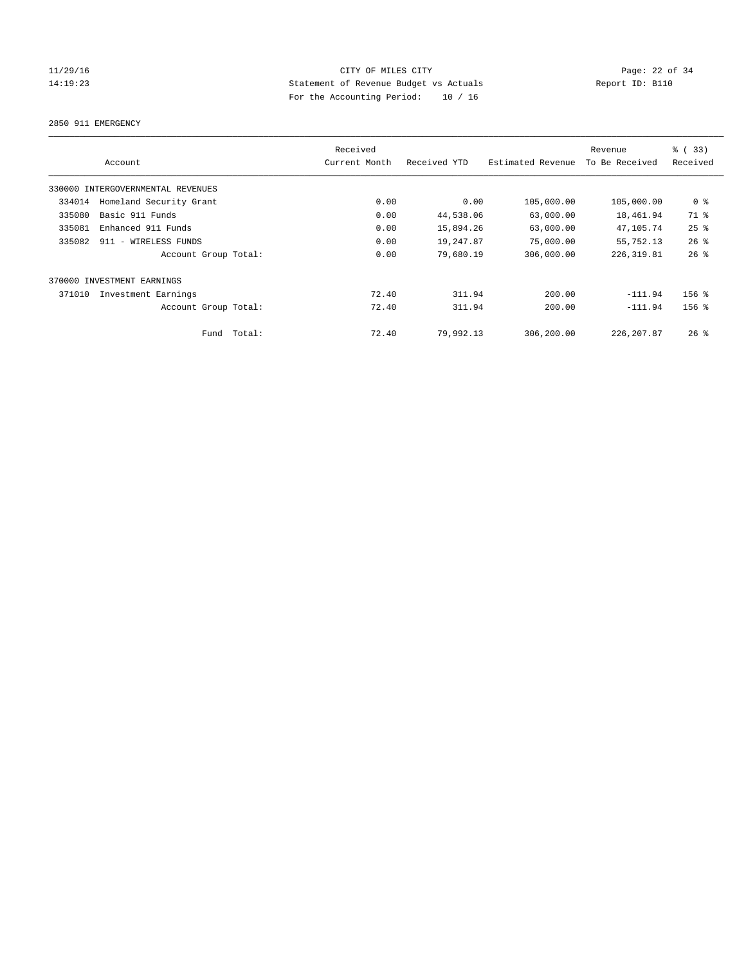## 11/29/16 Page: 22 of 34 14:19:23 Statement of Revenue Budget vs Actuals Report ID: B110 For the Accounting Period: 10 / 16

2850 911 EMERGENCY

|                                   | Received      |              |                   | Revenue        | % (33)         |
|-----------------------------------|---------------|--------------|-------------------|----------------|----------------|
| Account                           | Current Month | Received YTD | Estimated Revenue | To Be Received | Received       |
| 330000 INTERGOVERNMENTAL REVENUES |               |              |                   |                |                |
| Homeland Security Grant<br>334014 | 0.00          | 0.00         | 105,000.00        | 105,000.00     | 0 <sup>8</sup> |
| Basic 911 Funds<br>335080         | 0.00          | 44,538.06    | 63,000.00         | 18,461.94      | 71 %           |
| 335081<br>Enhanced 911 Funds      | 0.00          | 15,894.26    | 63,000.00         | 47,105.74      | 25%            |
| 335082<br>911 - WIRELESS FUNDS    | 0.00          | 19,247.87    | 75,000.00         | 55,752.13      | 26%            |
| Account Group Total:              | 0.00          | 79,680.19    | 306,000.00        | 226, 319.81    | 26%            |
| 370000 INVESTMENT EARNINGS        |               |              |                   |                |                |
| 371010<br>Investment Earnings     | 72.40         | 311.94       | 200.00            | $-111.94$      | $156$ %        |
| Account Group Total:              | 72.40         | 311.94       | 200.00            | $-111.94$      | $156$ %        |
| Fund Total:                       | 72.40         | 79,992.13    | 306,200.00        | 226, 207.87    | $26$ %         |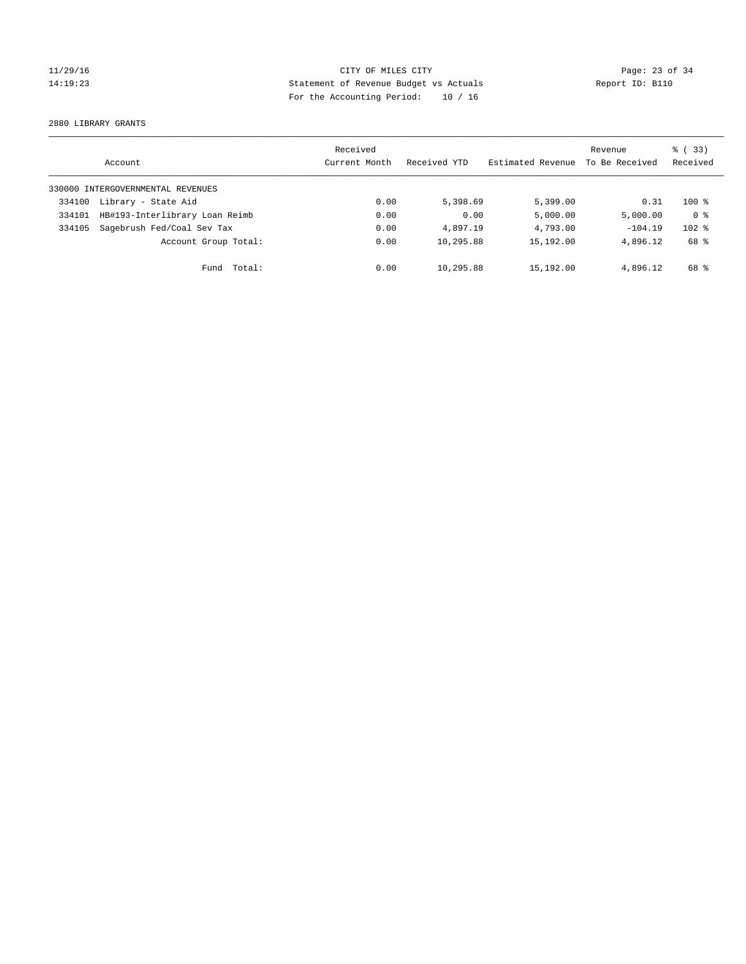## 11/29/16 CITY OF MILES CITY Page: 23 of 34 14:19:23 Statement of Revenue Budget vs Actuals Report ID: B110 For the Accounting Period: 10 / 16

2880 LIBRARY GRANTS

|        | Account                           | Received<br>Current Month | Received YTD | Estimated Revenue | Revenue<br>To Be Received | % (33)<br>Received |
|--------|-----------------------------------|---------------------------|--------------|-------------------|---------------------------|--------------------|
|        | 330000 INTERGOVERNMENTAL REVENUES |                           |              |                   |                           |                    |
| 334100 | Library - State Aid               | 0.00                      | 5,398.69     | 5,399.00          | 0.31                      | $100*$             |
| 334101 | HB#193-Interlibrary Loan Reimb    | 0.00                      | 0.00         | 5,000.00          | 5,000.00                  | 0 <sup>8</sup>     |
| 334105 | Sagebrush Fed/Coal Sev Tax        | 0.00                      | 4,897.19     | 4,793.00          | $-104.19$                 | $102$ %            |
|        | Account Group Total:              | 0.00                      | 10,295.88    | 15,192.00         | 4,896.12                  | 68 %               |
|        | Total:<br>Fund                    | 0.00                      | 10,295.88    | 15,192.00         | 4,896.12                  | 68 %               |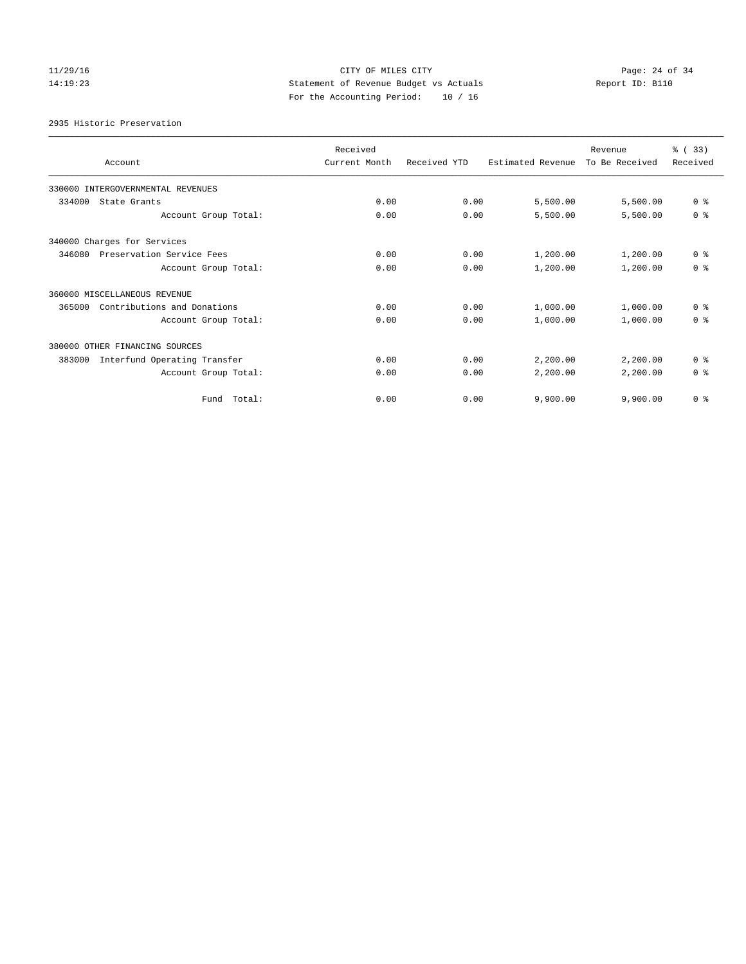## 11/29/16 Page: 24 of 34 14:19:23 Statement of Revenue Budget vs Actuals Report ID: B110 For the Accounting Period: 10 / 16

2935 Historic Preservation

| Account                                | Received<br>Current Month | Received YTD | Estimated Revenue | Revenue<br>To Be Received | % (33)<br>Received |
|----------------------------------------|---------------------------|--------------|-------------------|---------------------------|--------------------|
| 330000 INTERGOVERNMENTAL REVENUES      |                           |              |                   |                           |                    |
| 334000<br>State Grants                 | 0.00                      | 0.00         | 5,500.00          | 5,500.00                  | 0 <sup>8</sup>     |
| Account Group Total:                   | 0.00                      | 0.00         | 5,500.00          | 5,500.00                  | 0 <sup>8</sup>     |
| 340000 Charges for Services            |                           |              |                   |                           |                    |
| 346080<br>Preservation Service Fees    | 0.00                      | 0.00         | 1,200.00          | 1,200.00                  | 0 <sup>8</sup>     |
| Account Group Total:                   | 0.00                      | 0.00         | 1,200.00          | 1,200.00                  | 0 <sup>8</sup>     |
| 360000 MISCELLANEOUS REVENUE           |                           |              |                   |                           |                    |
| Contributions and Donations<br>365000  | 0.00                      | 0.00         | 1,000.00          | 1,000.00                  | 0 <sup>8</sup>     |
| Account Group Total:                   | 0.00                      | 0.00         | 1,000.00          | 1,000.00                  | 0 <sup>8</sup>     |
| 380000 OTHER FINANCING SOURCES         |                           |              |                   |                           |                    |
| Interfund Operating Transfer<br>383000 | 0.00                      | 0.00         | 2,200.00          | 2,200.00                  | 0 <sup>8</sup>     |
| Account Group Total:                   | 0.00                      | 0.00         | 2,200.00          | 2,200.00                  | 0 <sup>8</sup>     |
| Total:<br>Fund                         | 0.00                      | 0.00         | 9,900.00          | 9,900.00                  | 0 <sup>8</sup>     |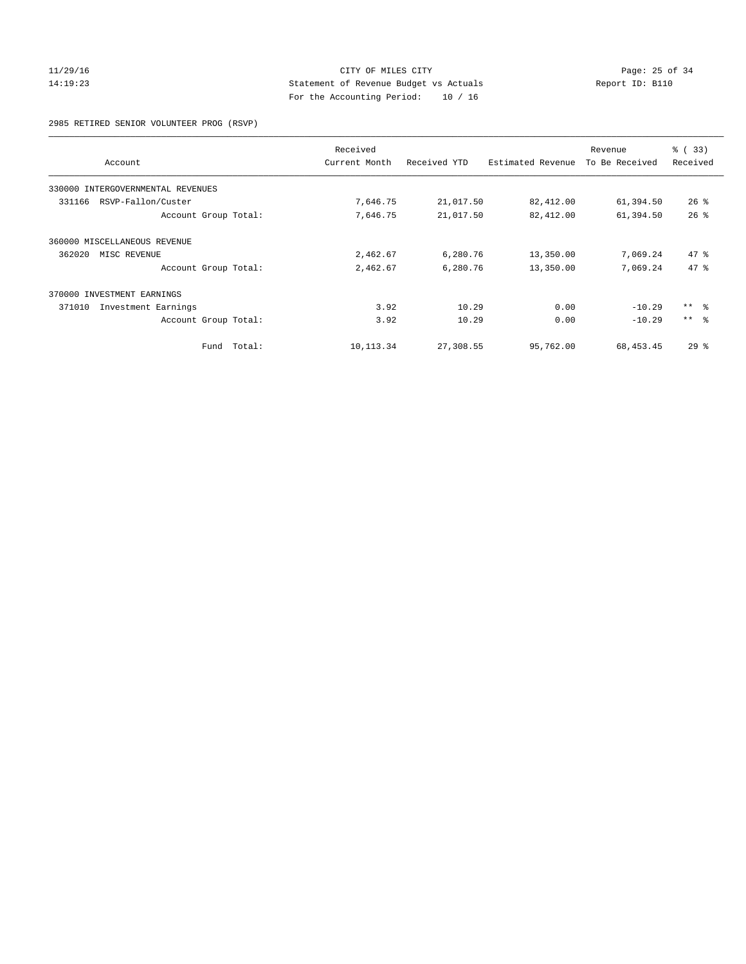## 11/29/16 Page: 25 of 34 14:19:23 Statement of Revenue Budget vs Actuals Report ID: B110 For the Accounting Period: 10 / 16

2985 RETIRED SENIOR VOLUNTEER PROG (RSVP)

|                                   |        | Received      |              |                   | Revenue        | % (33)          |
|-----------------------------------|--------|---------------|--------------|-------------------|----------------|-----------------|
| Account                           |        | Current Month | Received YTD | Estimated Revenue | To Be Received | Received        |
| 330000 INTERGOVERNMENTAL REVENUES |        |               |              |                   |                |                 |
| RSVP-Fallon/Custer<br>331166      |        | 7,646.75      | 21,017.50    | 82,412.00         | 61,394.50      | $26$ %          |
| Account Group Total:              |        | 7,646.75      | 21,017.50    | 82,412.00         | 61,394.50      | 26%             |
| 360000 MISCELLANEOUS REVENUE      |        |               |              |                   |                |                 |
| 362020<br>MISC REVENUE            |        | 2,462.67      | 6,280.76     | 13,350.00         | 7,069.24       | 47.8            |
| Account Group Total:              |        | 2,462.67      | 6,280.76     | 13,350.00         | 7,069.24       | 47.8            |
| 370000 INVESTMENT EARNINGS        |        |               |              |                   |                |                 |
| 371010<br>Investment Earnings     |        | 3.92          | 10.29        | 0.00              | $-10.29$       | $***$ $ -$      |
| Account Group Total:              |        | 3.92          | 10.29        | 0.00              | $-10.29$       | $***$ $\approx$ |
| Fund                              | Total: | 10, 113.34    | 27,308.55    | 95,762.00         | 68, 453.45     | 29%             |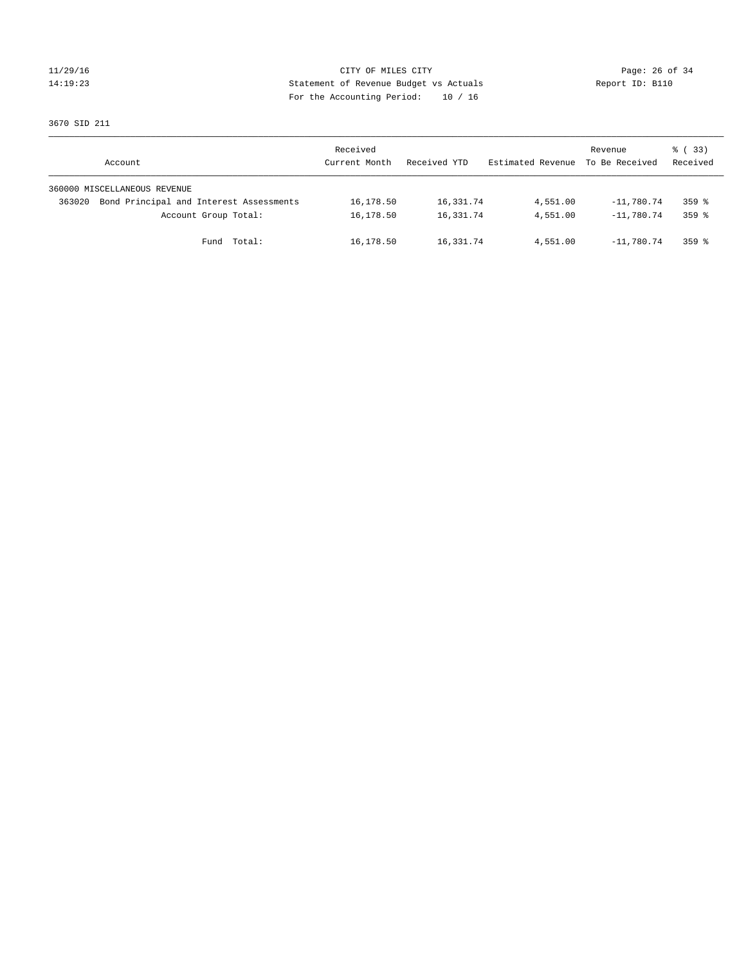## 11/29/16 Page: 26 of 34 14:19:23 Statement of Revenue Budget vs Actuals Report ID: B110 For the Accounting Period: 10 / 16

3670 SID 211

| Account                      |                                         | Received<br>Current Month | Received YTD | Estimated Revenue | Revenue<br>To Be Received | 8 (33)<br>Received |
|------------------------------|-----------------------------------------|---------------------------|--------------|-------------------|---------------------------|--------------------|
| 360000 MISCELLANEOUS REVENUE |                                         |                           |              |                   |                           |                    |
| 363020                       | Bond Principal and Interest Assessments | 16,178.50                 | 16,331.74    | 4,551.00          | $-11,780.74$              | $359$ $%$          |
|                              | Account Group Total:                    | 16,178.50                 | 16,331.74    | 4,551.00          | $-11,780.74$              | $359$ $%$          |
|                              | Fund Total:                             | 16,178.50                 | 16,331.74    | 4,551.00          | $-11.780.74$              | $359$ $%$          |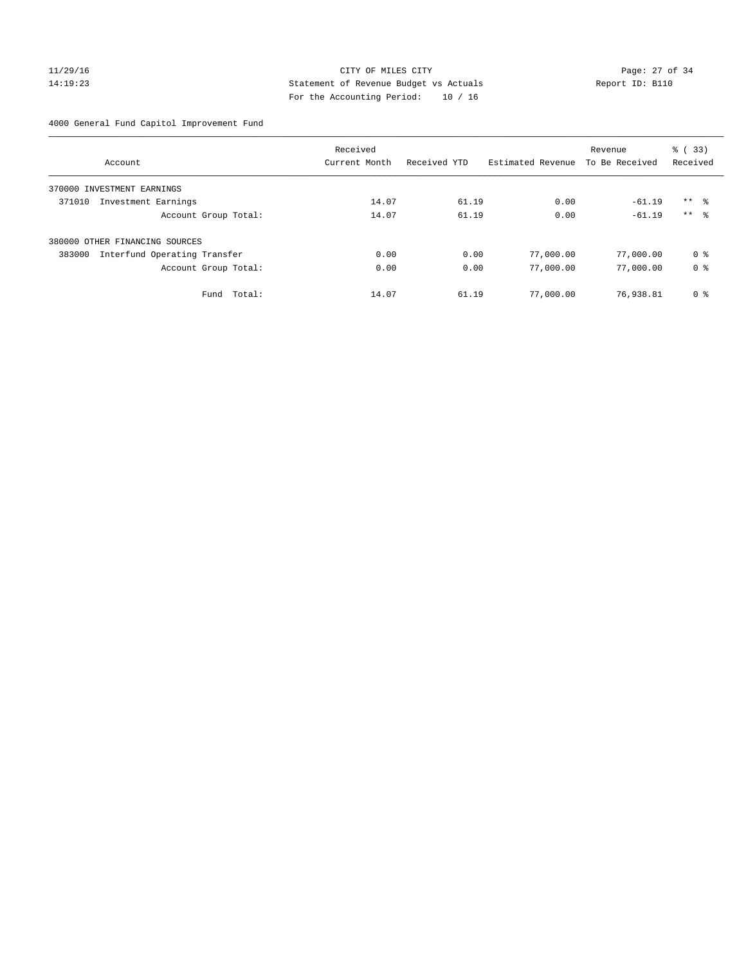## 11/29/16 Page: 27 of 34 14:19:23 Statement of Revenue Budget vs Actuals Report ID: B110 For the Accounting Period: 10 / 16

4000 General Fund Capitol Improvement Fund

|                                        | Received      |              |                   | Revenue        | % (33)              |
|----------------------------------------|---------------|--------------|-------------------|----------------|---------------------|
| Account                                | Current Month | Received YTD | Estimated Revenue | To Be Received | Received            |
| INVESTMENT EARNINGS<br>370000          |               |              |                   |                |                     |
| 371010<br>Investment Earnings          | 14.07         | 61.19        | 0.00              | $-61.19$       | $***$ $\frac{6}{3}$ |
| Account Group Total:                   | 14.07         | 61.19        | 0.00              | $-61.19$       | $***$ $\approx$     |
| 380000 OTHER FINANCING SOURCES         |               |              |                   |                |                     |
| Interfund Operating Transfer<br>383000 | 0.00          | 0.00         | 77,000.00         | 77,000.00      | 0 %                 |
| Account Group Total:                   | 0.00          | 0.00         | 77,000.00         | 77,000.00      | 0 <sup>8</sup>      |
| Total:<br>Fund                         | 14.07         | 61.19        | 77,000.00         | 76,938.81      | 0 %                 |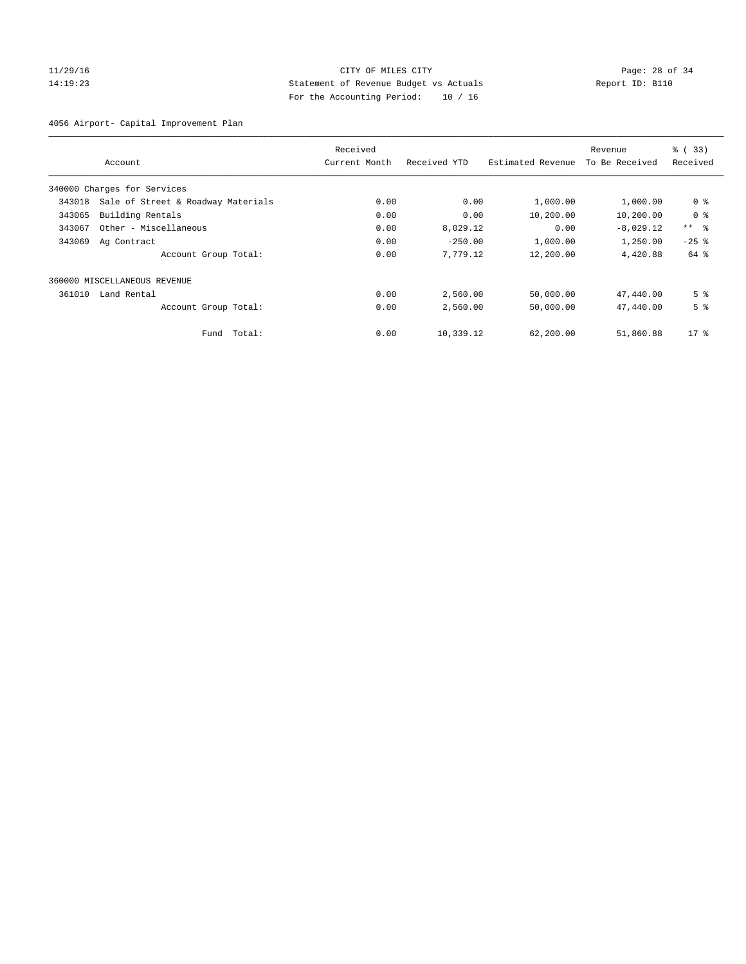## 11/29/16 Page: 28 of 34 14:19:23 Statement of Revenue Budget vs Actuals Report ID: B110 For the Accounting Period: 10 / 16

4056 Airport- Capital Improvement Plan

|        |                                    | Received      |              |                   | Revenue        | % (33)          |
|--------|------------------------------------|---------------|--------------|-------------------|----------------|-----------------|
|        | Account                            | Current Month | Received YTD | Estimated Revenue | To Be Received | Received        |
|        | 340000 Charges for Services        |               |              |                   |                |                 |
| 343018 | Sale of Street & Roadway Materials | 0.00          | 0.00         | 1,000.00          | 1,000.00       | 0 <sup>8</sup>  |
| 343065 | Building Rentals                   | 0.00          | 0.00         | 10,200.00         | 10,200.00      | 0 <sup>8</sup>  |
| 343067 | Other - Miscellaneous              | 0.00          | 8,029.12     | 0.00              | $-8,029.12$    | $***$ $\approx$ |
| 343069 | Ag Contract                        | 0.00          | $-250.00$    | 1,000.00          | 1,250.00       | $-25$ %         |
|        | Account Group Total:               | 0.00          | 7,779.12     | 12,200.00         | 4,420.88       | 64 %            |
|        | 360000 MISCELLANEOUS REVENUE       |               |              |                   |                |                 |
| 361010 | Land Rental                        | 0.00          | 2,560.00     | 50,000.00         | 47,440.00      | 5 <sup>°</sup>  |
|        | Account Group Total:               | 0.00          | 2,560.00     | 50,000.00         | 47,440.00      | 5 <sup>°</sup>  |
|        | Fund Total:                        | 0.00          | 10,339.12    | 62,200.00         | 51,860.88      | $17*$           |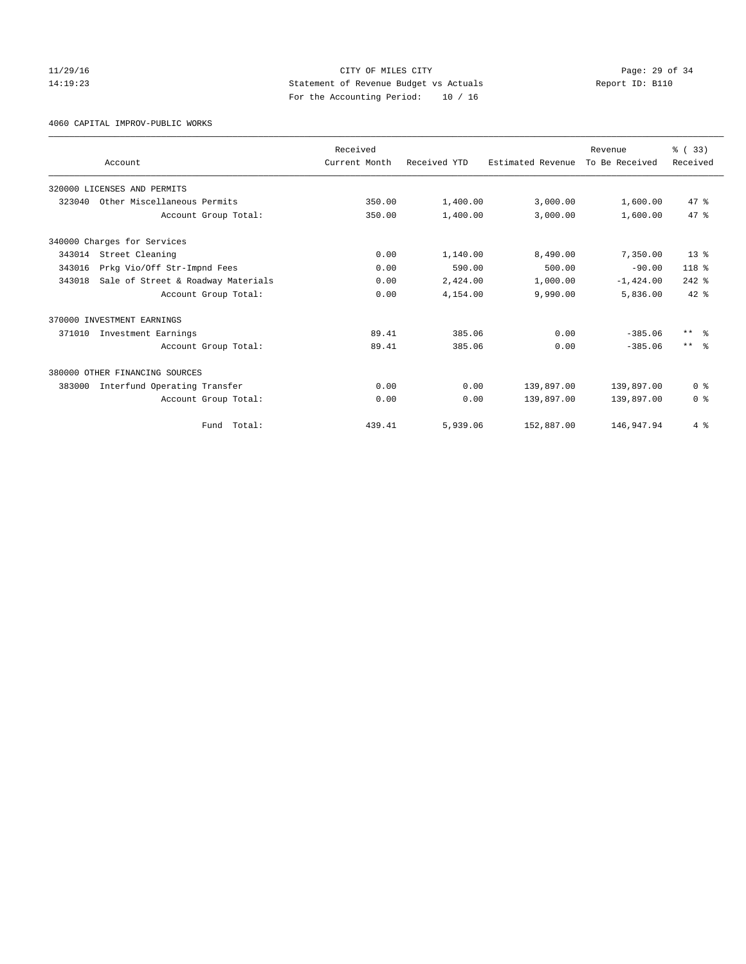## 11/29/16 Page: 29 of 34 14:19:23 Statement of Revenue Budget vs Actuals Report ID: B110 For the Accounting Period: 10 / 16

4060 CAPITAL IMPROV-PUBLIC WORKS

|        |                                    | Received      |              |                   | Revenue        | % (33)          |
|--------|------------------------------------|---------------|--------------|-------------------|----------------|-----------------|
|        | Account                            | Current Month | Received YTD | Estimated Revenue | To Be Received | Received        |
|        | 320000 LICENSES AND PERMITS        |               |              |                   |                |                 |
| 323040 | Other Miscellaneous Permits        | 350.00        | 1,400.00     | 3,000.00          | 1,600.00       | 47.8            |
|        | Account Group Total:               | 350.00        | 1,400.00     | 3,000.00          | 1,600.00       | 47.8            |
|        | 340000 Charges for Services        |               |              |                   |                |                 |
| 343014 | Street Cleaning                    | 0.00          | 1,140.00     | 8,490.00          | 7,350.00       | $13*$           |
| 343016 | Prkg Vio/Off Str-Impnd Fees        | 0.00          | 590.00       | 500.00            | $-90.00$       | $118*$          |
| 343018 | Sale of Street & Roadway Materials | 0.00          | 2,424.00     | 1,000.00          | $-1,424.00$    | $242$ $%$       |
|        | Account Group Total:               | 0.00          | 4,154.00     | 9,990.00          | 5,836.00       | $42*$           |
|        | 370000 INVESTMENT EARNINGS         |               |              |                   |                |                 |
| 371010 | Investment Earnings                | 89.41         | 385.06       | 0.00              | $-385.06$      | $***$ $\approx$ |
|        | Account Group Total:               | 89.41         | 385.06       | 0.00              | $-385.06$      | $***$ $\approx$ |
|        | 380000 OTHER FINANCING SOURCES     |               |              |                   |                |                 |
| 383000 | Interfund Operating Transfer       | 0.00          | 0.00         | 139,897.00        | 139,897.00     | 0 <sup>8</sup>  |
|        | Account Group Total:               | 0.00          | 0.00         | 139,897.00        | 139,897.00     | 0 <sup>8</sup>  |
|        | Total:<br>Fund                     | 439.41        | 5,939.06     | 152,887.00        | 146,947.94     | 4%              |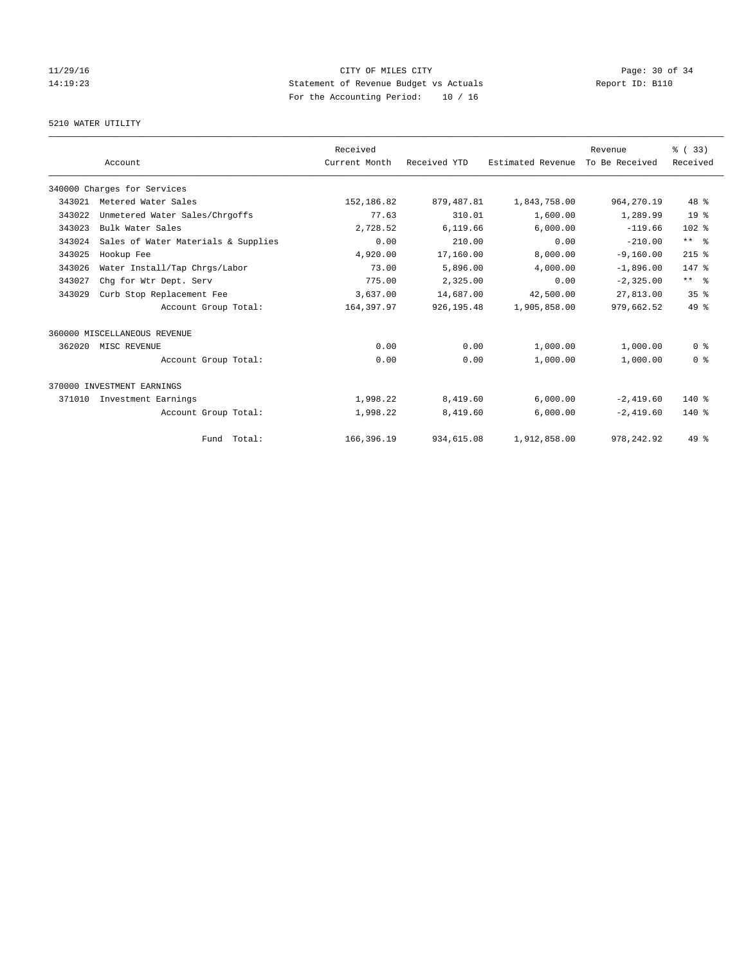## 11/29/16 Page: 30 of 34 14:19:23 Statement of Revenue Budget vs Actuals Report ID: B110 For the Accounting Period: 10 / 16

## 5210 WATER UTILITY

|        |                                     | Received      |              |                   | Revenue        | % (33)          |
|--------|-------------------------------------|---------------|--------------|-------------------|----------------|-----------------|
|        | Account                             | Current Month | Received YTD | Estimated Revenue | To Be Received | Received        |
|        | 340000 Charges for Services         |               |              |                   |                |                 |
| 343021 | Metered Water Sales                 | 152,186.82    | 879, 487.81  | 1,843,758.00      | 964, 270.19    | 48 %            |
| 343022 | Unmetered Water Sales/Chrgoffs      | 77.63         | 310.01       | 1,600.00          | 1,289.99       | 19 <sup>°</sup> |
| 343023 | Bulk Water Sales                    | 2,728.52      | 6,119.66     | 6,000.00          | $-119.66$      | 102 %           |
| 343024 | Sales of Water Materials & Supplies | 0.00          | 210.00       | 0.00              | $-210.00$      | $***$ $ -$      |
| 343025 | Hookup Fee                          | 4,920.00      | 17,160.00    | 8,000.00          | $-9,160.00$    | $215$ %         |
| 343026 | Water Install/Tap Chrgs/Labor       | 73.00         | 5,896.00     | 4,000.00          | $-1,896.00$    | 147 %           |
| 343027 | Chq for Wtr Dept. Serv              | 775.00        | 2,325.00     | 0.00              | $-2,325.00$    | $***$ $ -$      |
| 343029 | Curb Stop Replacement Fee           | 3,637.00      | 14,687.00    | 42,500.00         | 27,813.00      | 35 <sup>8</sup> |
|        | Account Group Total:                | 164,397.97    | 926, 195.48  | 1,905,858.00      | 979,662.52     | 49 %            |
|        | 360000 MISCELLANEOUS REVENUE        |               |              |                   |                |                 |
| 362020 | MISC REVENUE                        | 0.00          | 0.00         | 1,000.00          | 1,000.00       | 0 <sup>8</sup>  |
|        | Account Group Total:                | 0.00          | 0.00         | 1,000.00          | 1,000.00       | 0 <sup>8</sup>  |
|        | 370000 INVESTMENT EARNINGS          |               |              |                   |                |                 |
| 371010 | Investment Earnings                 | 1,998.22      | 8,419.60     | 6,000.00          | $-2,419.60$    | 140 %           |
|        | Account Group Total:                | 1,998.22      | 8,419.60     | 6,000.00          | $-2,419.60$    | $140*$          |
|        | Fund Total:                         | 166,396.19    | 934,615.08   | 1,912,858.00      | 978, 242.92    | 49 %            |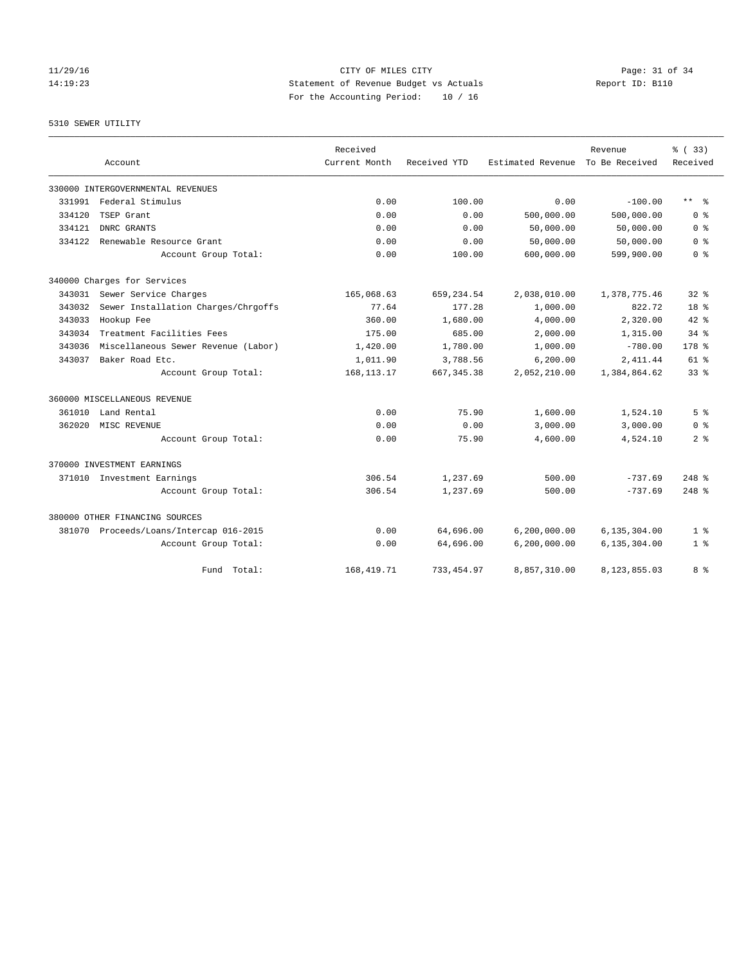## 11/29/16 Page: 31 of 34 14:19:23 Statement of Revenue Budget vs Actuals Report ID: B110 For the Accounting Period: 10 / 16

5310 SEWER UTILITY

|        |                                         | Received      |              |                   | Revenue        | % (33)           |
|--------|-----------------------------------------|---------------|--------------|-------------------|----------------|------------------|
|        | Account                                 | Current Month | Received YTD | Estimated Revenue | To Be Received | Received         |
|        | 330000 INTERGOVERNMENTAL REVENUES       |               |              |                   |                |                  |
| 331991 | Federal Stimulus                        | 0.00          | 100.00       | 0.00              | $-100.00$      | $***$ $ -$       |
| 334120 | TSEP Grant                              | 0.00          | 0.00         | 500,000.00        | 500,000.00     | 0 <sup>8</sup>   |
| 334121 | DNRC GRANTS                             | 0.00          | 0.00         | 50,000.00         | 50,000.00      | 0 <sup>8</sup>   |
| 334122 | Renewable Resource Grant                | 0.00          | 0.00         | 50,000.00         | 50,000.00      | 0 <sup>8</sup>   |
|        | Account Group Total:                    | 0.00          | 100.00       | 600,000.00        | 599,900.00     | 0 <sup>8</sup>   |
|        | 340000 Charges for Services             |               |              |                   |                |                  |
|        | 343031 Sewer Service Charges            | 165,068.63    | 659, 234.54  | 2,038,010.00      | 1,378,775.46   | $32*$            |
| 343032 | Sewer Installation Charges/Chrgoffs     | 77.64         | 177.28       | 1,000.00          | 822.72         | 18 %             |
| 343033 | Hookup Fee                              | 360.00        | 1,680.00     | 4,000.00          | 2,320.00       | $42*$            |
| 343034 | Treatment Facilities Fees               | 175.00        | 685.00       | 2,000.00          | 1,315.00       | $34$ $%$         |
| 343036 | Miscellaneous Sewer Revenue (Labor)     | 1,420.00      | 1,780.00     | 1,000.00          | $-780.00$      | 178 <sup>8</sup> |
| 343037 | Baker Road Etc.                         | 1,011.90      | 3,788.56     | 6, 200.00         | 2,411.44       | $61$ $%$         |
|        | Account Group Total:                    | 168, 113. 17  | 667, 345.38  | 2,052,210.00      | 1,384,864.62   | 33 <sup>8</sup>  |
|        | 360000 MISCELLANEOUS REVENUE            |               |              |                   |                |                  |
| 361010 | Land Rental                             | 0.00          | 75.90        | 1,600.00          | 1,524.10       | 5 <sup>8</sup>   |
| 362020 | MISC REVENUE                            | 0.00          | 0.00         | 3,000.00          | 3,000.00       | 0 <sup>8</sup>   |
|        | Account Group Total:                    | 0.00          | 75.90        | 4,600.00          | 4,524.10       | 2 <sup>8</sup>   |
|        | 370000 INVESTMENT EARNINGS              |               |              |                   |                |                  |
|        | 371010 Investment Earnings              | 306.54        | 1,237.69     | 500.00            | $-737.69$      | $248$ %          |
|        | Account Group Total:                    | 306.54        | 1,237.69     | 500.00            | $-737.69$      | $248$ %          |
|        | 380000 OTHER FINANCING SOURCES          |               |              |                   |                |                  |
|        | 381070 Proceeds/Loans/Intercap 016-2015 | 0.00          | 64,696.00    | 6, 200, 000.00    | 6,135,304.00   | 1 <sup>8</sup>   |
|        | Account Group Total:                    | 0.00          | 64,696.00    | 6,200,000.00      | 6,135,304.00   | 1 <sup>8</sup>   |
|        | Fund Total:                             | 168, 419. 71  | 733, 454.97  | 8,857,310.00      | 8,123,855.03   | 8 %              |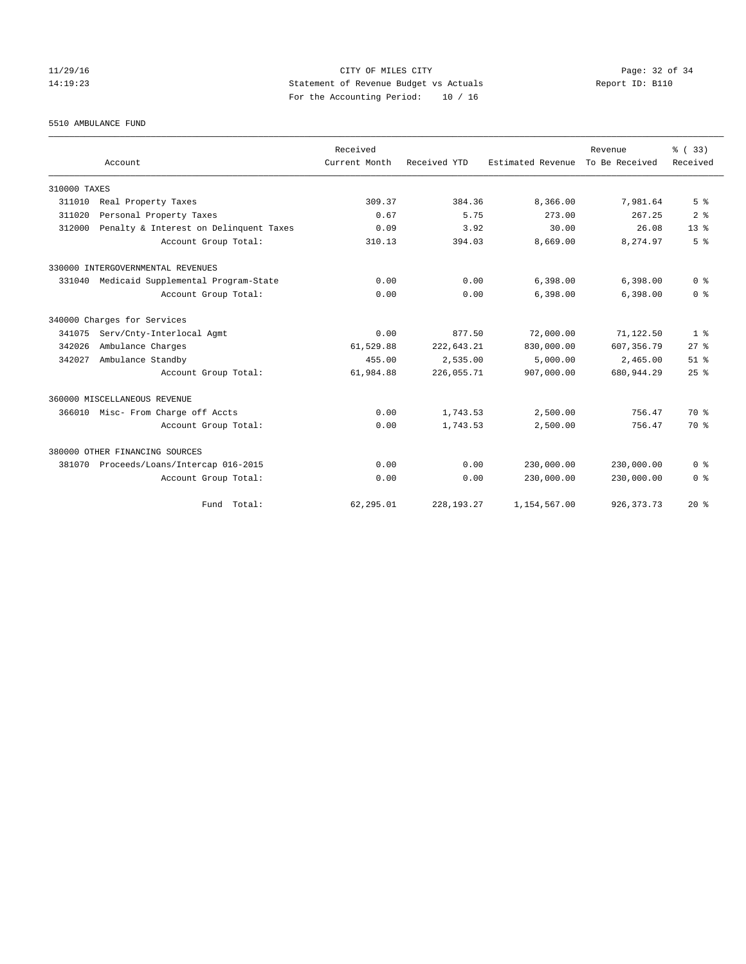## 11/29/16 CITY OF MILES CITY Page: 32 of 34 14:19:23 Statement of Revenue Budget vs Actuals Report ID: B110 For the Accounting Period: 10 / 16

5510 AMBULANCE FUND

|              |                                        | Received      |              |                   | Revenue        | % (33)          |
|--------------|----------------------------------------|---------------|--------------|-------------------|----------------|-----------------|
|              | Account                                | Current Month | Received YTD | Estimated Revenue | To Be Received | Received        |
| 310000 TAXES |                                        |               |              |                   |                |                 |
| 311010       | Real Property Taxes                    | 309.37        | 384.36       | 8,366.00          | 7,981.64       | 5 <sup>8</sup>  |
| 311020       | Personal Property Taxes                | 0.67          | 5.75         | 273.00            | 267.25         | 2 <sup>8</sup>  |
| 312000       | Penalty & Interest on Delinquent Taxes | 0.09          | 3.92         | 30.00             | 26.08          | 13 <sup>8</sup> |
|              | Account Group Total:                   | 310.13        | 394.03       | 8,669.00          | 8,274.97       | 5 <sup>8</sup>  |
|              | 330000 INTERGOVERNMENTAL REVENUES      |               |              |                   |                |                 |
| 331040       | Medicaid Supplemental Program-State    | 0.00          | 0.00         | 6,398.00          | 6,398.00       | 0 <sup>8</sup>  |
|              | Account Group Total:                   | 0.00          | 0.00         | 6,398.00          | 6,398.00       | 0 <sup>8</sup>  |
|              | 340000 Charges for Services            |               |              |                   |                |                 |
| 341075       | Serv/Cnty-Interlocal Agmt              | 0.00          | 877.50       | 72,000.00         | 71,122.50      | 1 <sup>8</sup>  |
| 342026       | Ambulance Charges                      | 61,529.88     | 222,643.21   | 830,000.00        | 607, 356.79    | $27$ $%$        |
| 342027       | Ambulance Standby                      | 455.00        | 2,535.00     | 5.000.00          | 2,465.00       | $51$ $%$        |
|              | Account Group Total:                   | 61,984.88     | 226,055.71   | 907,000.00        | 680, 944.29    | 25%             |
|              | 360000 MISCELLANEOUS REVENUE           |               |              |                   |                |                 |
|              | 366010 Misc- From Charge off Accts     | 0.00          | 1,743.53     | 2,500.00          | 756.47         | 70 %            |
|              | Account Group Total:                   | 0.00          | 1,743.53     | 2,500.00          | 756.47         | 70 %            |
|              | 380000 OTHER FINANCING SOURCES         |               |              |                   |                |                 |
| 381070       | Proceeds/Loans/Intercap 016-2015       | 0.00          | 0.00         | 230,000.00        | 230,000.00     | 0 <sup>8</sup>  |
|              | Account Group Total:                   | 0.00          | 0.00         | 230,000.00        | 230,000.00     | 0 <sup>8</sup>  |
|              | Fund Total:                            | 62,295.01     | 228, 193. 27 | 1,154,567.00      | 926, 373. 73   | $20*$           |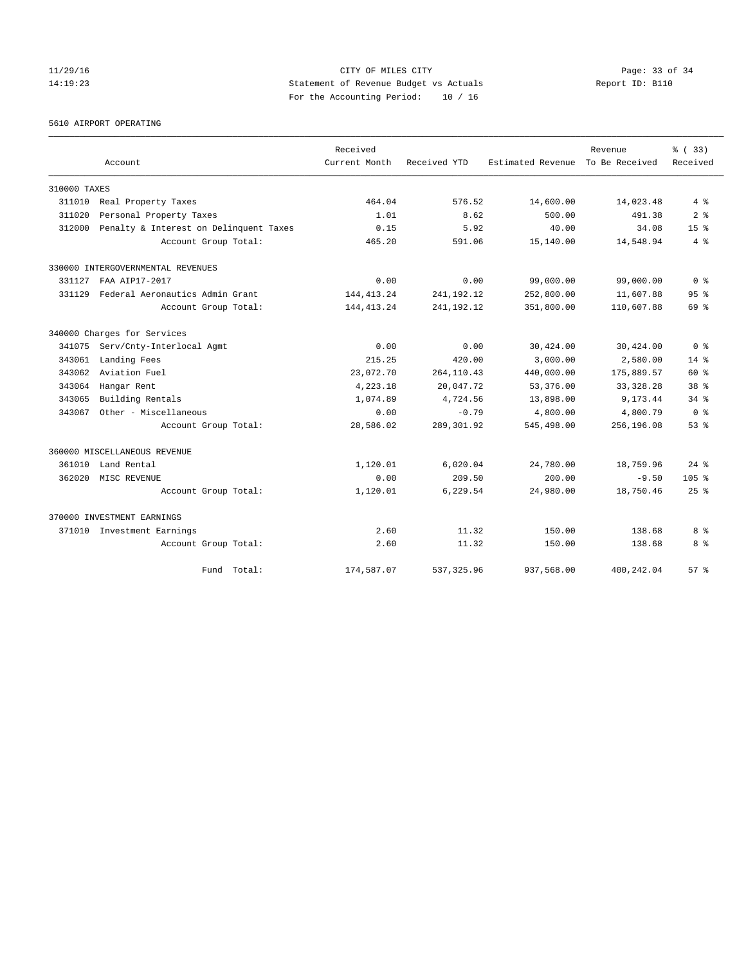## 11/29/16 Page: 33 of 34 14:19:23 Statement of Revenue Budget vs Actuals Report ID: B110 For the Accounting Period: 10 / 16

5610 AIRPORT OPERATING

|              |                                        | Received      |              |                                  | Revenue    | % (33)           |
|--------------|----------------------------------------|---------------|--------------|----------------------------------|------------|------------------|
|              | Account                                | Current Month | Received YTD | Estimated Revenue To Be Received |            | Received         |
| 310000 TAXES |                                        |               |              |                                  |            |                  |
| 311010       | Real Property Taxes                    | 464.04        | 576.52       | 14,600.00                        | 14,023.48  | $4\degree$       |
| 311020       | Personal Property Taxes                | 1.01          | 8.62         | 500.00                           | 491.38     | 2 <sup>8</sup>   |
| 312000       | Penalty & Interest on Delinquent Taxes | 0.15          | 5.92         | 40.00                            | 34.08      | 15 <sup>8</sup>  |
|              | Account Group Total:                   | 465.20        | 591.06       | 15,140.00                        | 14,548.94  | 4%               |
|              | 330000 INTERGOVERNMENTAL REVENUES      |               |              |                                  |            |                  |
| 331127       | FAA AIP17-2017                         | 0.00          | 0.00         | 99,000.00                        | 99,000.00  | 0 <sup>8</sup>   |
| 331129       | Federal Aeronautics Admin Grant        | 144, 413. 24  | 241, 192. 12 | 252,800.00                       | 11,607.88  | 95 <sup>8</sup>  |
|              | Account Group Total:                   | 144, 413. 24  | 241, 192. 12 | 351,800.00                       | 110,607.88 | 69 %             |
|              | 340000 Charges for Services            |               |              |                                  |            |                  |
| 341075       | Serv/Cnty-Interlocal Agmt              | 0.00          | 0.00         | 30,424.00                        | 30,424.00  | 0 <sup>8</sup>   |
| 343061       | Landing Fees                           | 215.25        | 420.00       | 3,000.00                         | 2,580.00   | $14*$            |
| 343062       | Aviation Fuel                          | 23,072.70     | 264, 110.43  | 440,000.00                       | 175,889.57 | $60*$            |
| 343064       | Hangar Rent                            | 4,223.18      | 20,047.72    | 53,376.00                        | 33, 328.28 | 38 <sup>8</sup>  |
| 343065       | Building Rentals                       | 1,074.89      | 4,724.56     | 13,898.00                        | 9,173.44   | $34$ $%$         |
| 343067       | Other - Miscellaneous                  | 0.00          | $-0.79$      | 4,800.00                         | 4,800.79   | 0 <sup>8</sup>   |
|              | Account Group Total:                   | 28,586.02     | 289, 301.92  | 545,498.00                       | 256,196.08 | 53%              |
|              | 360000 MISCELLANEOUS REVENUE           |               |              |                                  |            |                  |
| 361010       | Land Rental                            | 1,120.01      | 6,020.04     | 24,780.00                        | 18,759.96  | $24$ $%$         |
| 362020       | MISC REVENUE                           | 0.00          | 209.50       | 200.00                           | $-9.50$    | 105 <sub>8</sub> |
|              | Account Group Total:                   | 1,120.01      | 6.229.54     | 24,980.00                        | 18,750.46  | $25$ $%$         |
|              | 370000 INVESTMENT EARNINGS             |               |              |                                  |            |                  |
|              | 371010 Investment Earnings             | 2.60          | 11.32        | 150.00                           | 138.68     | 8 %              |
|              | Account Group Total:                   | 2.60          | 11.32        | 150.00                           | 138.68     | 8 %              |
|              | Fund Total:                            | 174,587.07    | 537, 325, 96 | 937,568.00                       | 400.242.04 | 57%              |